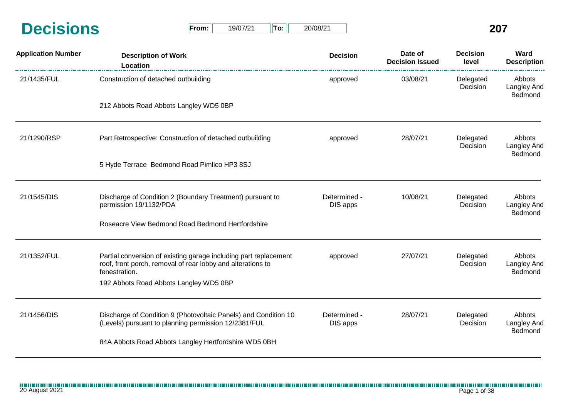| <b>Decisions</b> | From: | 19/07/21 | $T$ o: | 20/08/21 | 207 |
|------------------|-------|----------|--------|----------|-----|
|                  |       |          |        |          |     |

| $From: \Box$ | 19/07/21 | $  $ To: $  $ | 20/08/21 |
|--------------|----------|---------------|----------|
|--------------|----------|---------------|----------|

| <b>Application Number</b> | <b>Description of Work</b><br>Location                                                                                                                                                     | <b>Decision</b>          | Date of<br><b>Decision Issued</b> | <b>Decision</b><br>level | Ward<br><b>Description</b>              |
|---------------------------|--------------------------------------------------------------------------------------------------------------------------------------------------------------------------------------------|--------------------------|-----------------------------------|--------------------------|-----------------------------------------|
| 21/1435/FUL               | Construction of detached outbuilding                                                                                                                                                       | approved                 | 03/08/21                          | Delegated<br>Decision    | Abbots<br><b>Langley And</b><br>Bedmond |
|                           | 212 Abbots Road Abbots Langley WD5 0BP                                                                                                                                                     |                          |                                   |                          |                                         |
| 21/1290/RSP               | Part Retrospective: Construction of detached outbuilding                                                                                                                                   | approved                 | 28/07/21                          | Delegated<br>Decision    | Abbots<br>Langley And<br>Bedmond        |
|                           | 5 Hyde Terrace Bedmond Road Pimlico HP3 8SJ                                                                                                                                                |                          |                                   |                          |                                         |
| 21/1545/DIS               | Discharge of Condition 2 (Boundary Treatment) pursuant to<br>permission 19/1132/PDA                                                                                                        | Determined -<br>DIS apps | 10/08/21                          | Delegated<br>Decision    | Abbots<br>Langley And<br>Bedmond        |
|                           | Roseacre View Bedmond Road Bedmond Hertfordshire                                                                                                                                           |                          |                                   |                          |                                         |
| 21/1352/FUL               | Partial conversion of existing garage including part replacement<br>roof, front porch, removal of rear lobby and alterations to<br>fenestration.<br>192 Abbots Road Abbots Langley WD5 0BP | approved                 | 27/07/21                          | Delegated<br>Decision    | Abbots<br>Langley And<br>Bedmond        |
| 21/1456/DIS               | Discharge of Condition 9 (Photovoltaic Panels) and Condition 10<br>(Levels) pursuant to planning permission 12/2381/FUL                                                                    | Determined -<br>DIS apps | 28/07/21                          | Delegated<br>Decision    | Abbots<br><b>Langley And</b><br>Bedmond |
|                           | 84A Abbots Road Abbots Langley Hertfordshire WD5 0BH                                                                                                                                       |                          |                                   |                          |                                         |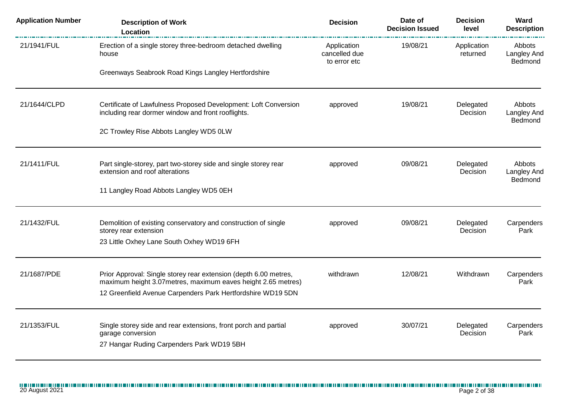| <b>Application Number</b> | <b>Description of Work</b><br>Location                                                                                                                                                           | <b>Decision</b>                              | Date of<br><b>Decision Issued</b> | <b>Decision</b><br>level     | Ward<br><b>Description</b>                     |
|---------------------------|--------------------------------------------------------------------------------------------------------------------------------------------------------------------------------------------------|----------------------------------------------|-----------------------------------|------------------------------|------------------------------------------------|
| 21/1941/FUL               | Erection of a single storey three-bedroom detached dwelling<br>house                                                                                                                             | Application<br>cancelled due<br>to error etc | 19/08/21                          | Application<br>returned      | Abbots<br><b>Langley And</b><br>Bedmond        |
|                           | Greenways Seabrook Road Kings Langley Hertfordshire                                                                                                                                              |                                              |                                   |                              |                                                |
| 21/1644/CLPD              | Certificate of Lawfulness Proposed Development: Loft Conversion<br>including rear dormer window and front rooflights.                                                                            | approved                                     | 19/08/21                          | Delegated<br>Decision        | <b>Abbots</b><br><b>Langley And</b><br>Bedmond |
|                           | 2C Trowley Rise Abbots Langley WD5 0LW                                                                                                                                                           |                                              |                                   |                              |                                                |
| 21/1411/FUL               | Part single-storey, part two-storey side and single storey rear<br>extension and roof alterations                                                                                                | approved                                     | 09/08/21                          | Delegated<br>Decision        | Abbots<br>Langley And<br>Bedmond               |
|                           | 11 Langley Road Abbots Langley WD5 0EH                                                                                                                                                           |                                              |                                   |                              |                                                |
| 21/1432/FUL               | Demolition of existing conservatory and construction of single<br>storey rear extension                                                                                                          | approved                                     | 09/08/21                          | Delegated<br><b>Decision</b> | Carpenders<br>Park                             |
|                           | 23 Little Oxhey Lane South Oxhey WD19 6FH                                                                                                                                                        |                                              |                                   |                              |                                                |
| 21/1687/PDE               | Prior Approval: Single storey rear extension (depth 6.00 metres,<br>maximum height 3.07 metres, maximum eaves height 2.65 metres)<br>12 Greenfield Avenue Carpenders Park Hertfordshire WD19 5DN | withdrawn                                    | 12/08/21                          | Withdrawn                    | Carpenders<br>Park                             |
|                           |                                                                                                                                                                                                  |                                              |                                   |                              |                                                |
| 21/1353/FUL               | Single storey side and rear extensions, front porch and partial<br>garage conversion<br>27 Hangar Ruding Carpenders Park WD19 5BH                                                                | approved                                     | 30/07/21                          | Delegated<br>Decision        | Carpenders<br>Park                             |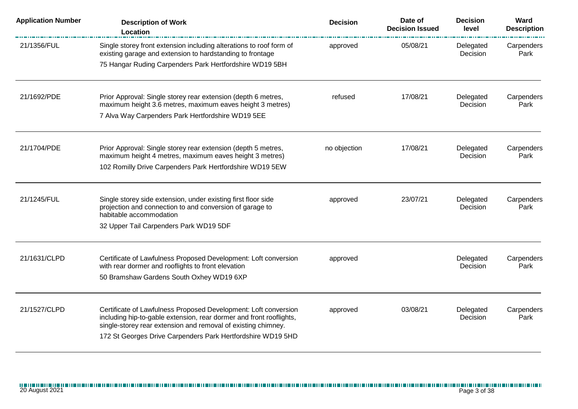| <b>Application Number</b> | <b>Description of Work</b><br>Location                                                                                                                                                                                                                                 | <b>Decision</b> | Date of<br><b>Decision Issued</b> | <b>Decision</b><br>level | Ward<br><b>Description</b> |
|---------------------------|------------------------------------------------------------------------------------------------------------------------------------------------------------------------------------------------------------------------------------------------------------------------|-----------------|-----------------------------------|--------------------------|----------------------------|
| 21/1356/FUL               | Single storey front extension including alterations to roof form of<br>existing garage and extension to hardstanding to frontage                                                                                                                                       | approved        | 05/08/21                          | Delegated<br>Decision    | Carpenders<br>Park         |
|                           | 75 Hangar Ruding Carpenders Park Hertfordshire WD19 5BH                                                                                                                                                                                                                |                 |                                   |                          |                            |
| 21/1692/PDE               | Prior Approval: Single storey rear extension (depth 6 metres,<br>maximum height 3.6 metres, maximum eaves height 3 metres)                                                                                                                                             | refused         | 17/08/21                          | Delegated<br>Decision    | Carpenders<br>Park         |
|                           | 7 Alva Way Carpenders Park Hertfordshire WD19 5EE                                                                                                                                                                                                                      |                 |                                   |                          |                            |
| 21/1704/PDE               | Prior Approval: Single storey rear extension (depth 5 metres,<br>maximum height 4 metres, maximum eaves height 3 metres)<br>102 Romilly Drive Carpenders Park Hertfordshire WD19 5EW                                                                                   | no objection    | 17/08/21                          | Delegated<br>Decision    | Carpenders<br>Park         |
| 21/1245/FUL               | Single storey side extension, under existing first floor side<br>projection and connection to and conversion of garage to<br>habitable accommodation                                                                                                                   | approved        | 23/07/21                          | Delegated<br>Decision    | Carpenders<br>Park         |
|                           | 32 Upper Tail Carpenders Park WD19 5DF                                                                                                                                                                                                                                 |                 |                                   |                          |                            |
| 21/1631/CLPD              | Certificate of Lawfulness Proposed Development: Loft conversion<br>with rear dormer and rooflights to front elevation                                                                                                                                                  | approved        |                                   | Delegated<br>Decision    | Carpenders<br>Park         |
|                           | 50 Bramshaw Gardens South Oxhey WD19 6XP                                                                                                                                                                                                                               |                 |                                   |                          |                            |
| 21/1527/CLPD              | Certificate of Lawfulness Proposed Development: Loft conversion<br>including hip-to-gable extension, rear dormer and front rooflights,<br>single-storey rear extension and removal of existing chimney.<br>172 St Georges Drive Carpenders Park Hertfordshire WD19 5HD | approved        | 03/08/21                          | Delegated<br>Decision    | Carpenders<br>Park         |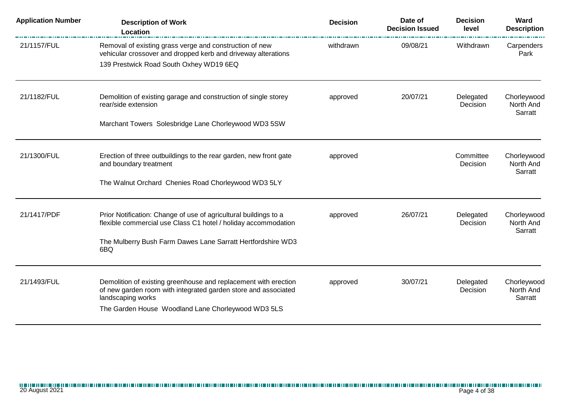| <b>Application Number</b> | <b>Description of Work</b><br>Location                                                                                                                              | <b>Decision</b> | Date of<br><b>Decision Issued</b> | <b>Decision</b><br>level | Ward<br><b>Description</b>          |
|---------------------------|---------------------------------------------------------------------------------------------------------------------------------------------------------------------|-----------------|-----------------------------------|--------------------------|-------------------------------------|
| 21/1157/FUL               | Removal of existing grass verge and construction of new<br>vehicular crossover and dropped kerb and driveway alterations<br>139 Prestwick Road South Oxhey WD19 6EQ | withdrawn       | 09/08/21                          | Withdrawn                | Carpenders<br>Park                  |
| 21/1182/FUL               | Demolition of existing garage and construction of single storey                                                                                                     | approved        | 20/07/21                          | Delegated                | Chorleywood                         |
|                           | rear/side extension<br>Marchant Towers Solesbridge Lane Chorleywood WD3 5SW                                                                                         |                 |                                   | Decision                 | North And<br>Sarratt                |
|                           |                                                                                                                                                                     |                 |                                   |                          |                                     |
| 21/1300/FUL               | Erection of three outbuildings to the rear garden, new front gate<br>and boundary treatment                                                                         | approved        |                                   | Committee<br>Decision    | Chorleywood<br>North And<br>Sarratt |
|                           | The Walnut Orchard Chenies Road Chorleywood WD3 5LY                                                                                                                 |                 |                                   |                          |                                     |
| 21/1417/PDF               | Prior Notification: Change of use of agricultural buildings to a<br>flexible commercial use Class C1 hotel / holiday accommodation                                  | approved        | 26/07/21                          | Delegated<br>Decision    | Chorleywood<br>North And<br>Sarratt |
|                           | The Mulberry Bush Farm Dawes Lane Sarratt Hertfordshire WD3<br>6BQ                                                                                                  |                 |                                   |                          |                                     |
| 21/1493/FUL               | Demolition of existing greenhouse and replacement with erection<br>of new garden room with integrated garden store and associated<br>landscaping works              | approved        | 30/07/21                          | Delegated<br>Decision    | Chorleywood<br>North And<br>Sarratt |
|                           | The Garden House Woodland Lane Chorleywood WD3 5LS                                                                                                                  |                 |                                   |                          |                                     |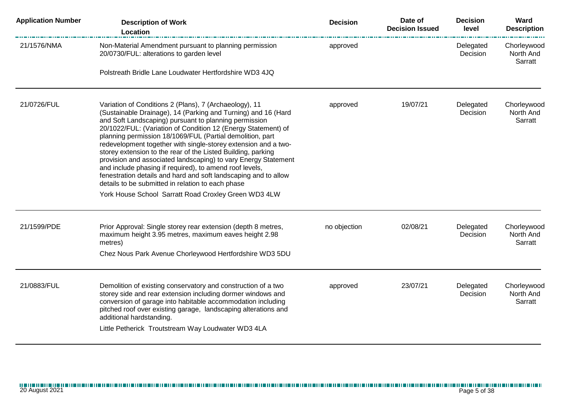| <b>Application Number</b> | <b>Description of Work</b><br>Location                                                                                                                                                                                                                                                                                                                                                                                                                                                                                                                                                                                                                                                                                                                        | <b>Decision</b> | Date of<br><b>Decision Issued</b> | <b>Decision</b><br>level | Ward<br><b>Description</b>          |
|---------------------------|---------------------------------------------------------------------------------------------------------------------------------------------------------------------------------------------------------------------------------------------------------------------------------------------------------------------------------------------------------------------------------------------------------------------------------------------------------------------------------------------------------------------------------------------------------------------------------------------------------------------------------------------------------------------------------------------------------------------------------------------------------------|-----------------|-----------------------------------|--------------------------|-------------------------------------|
| 21/1576/NMA               | Non-Material Amendment pursuant to planning permission<br>20/0730/FUL: alterations to garden level                                                                                                                                                                                                                                                                                                                                                                                                                                                                                                                                                                                                                                                            | approved        |                                   | Delegated<br>Decision    | Chorleywood<br>North And<br>Sarratt |
|                           | Polstreath Bridle Lane Loudwater Hertfordshire WD3 4JQ                                                                                                                                                                                                                                                                                                                                                                                                                                                                                                                                                                                                                                                                                                        |                 |                                   |                          |                                     |
| 21/0726/FUL               | Variation of Conditions 2 (Plans), 7 (Archaeology), 11<br>(Sustainable Drainage), 14 (Parking and Turning) and 16 (Hard<br>and Soft Landscaping) pursuant to planning permission<br>20/1022/FUL: (Variation of Condition 12 (Energy Statement) of<br>planning permission 18/1069/FUL (Partial demolition, part<br>redevelopment together with single-storey extension and a two-<br>storey extension to the rear of the Listed Building, parking<br>provision and associated landscaping) to vary Energy Statement<br>and include phasing if required), to amend roof levels,<br>fenestration details and hard and soft landscaping and to allow<br>details to be submitted in relation to each phase<br>York House School Sarratt Road Croxley Green WD3 4LW | approved        | 19/07/21                          | Delegated<br>Decision    | Chorleywood<br>North And<br>Sarratt |
|                           |                                                                                                                                                                                                                                                                                                                                                                                                                                                                                                                                                                                                                                                                                                                                                               |                 |                                   |                          |                                     |
| 21/1599/PDE               | Prior Approval: Single storey rear extension (depth 8 metres,<br>maximum height 3.95 metres, maximum eaves height 2.98<br>metres)<br>Chez Nous Park Avenue Chorleywood Hertfordshire WD3 5DU                                                                                                                                                                                                                                                                                                                                                                                                                                                                                                                                                                  | no objection    | 02/08/21                          | Delegated<br>Decision    | Chorleywood<br>North And<br>Sarratt |
|                           |                                                                                                                                                                                                                                                                                                                                                                                                                                                                                                                                                                                                                                                                                                                                                               |                 |                                   |                          |                                     |
| 21/0883/FUL               | Demolition of existing conservatory and construction of a two<br>storey side and rear extension including dormer windows and<br>conversion of garage into habitable accommodation including<br>pitched roof over existing garage, landscaping alterations and<br>additional hardstanding.<br>Little Petherick Troutstream Way Loudwater WD3 4LA                                                                                                                                                                                                                                                                                                                                                                                                               | approved        | 23/07/21                          | Delegated<br>Decision    | Chorleywood<br>North And<br>Sarratt |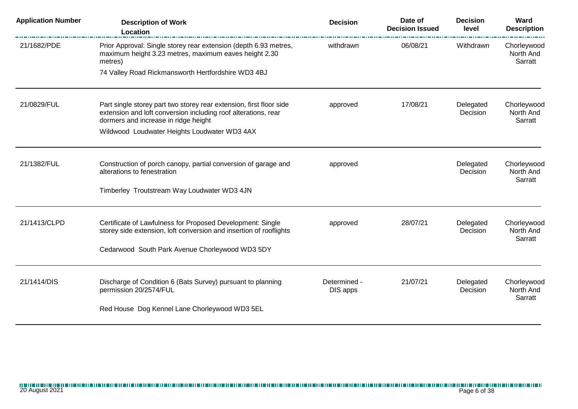| <b>Application Number</b> | <b>Description of Work</b><br>Location                                                                                                                                        | <b>Decision</b>          | Date of<br><b>Decision Issued</b> | <b>Decision</b><br>level | Ward<br><b>Description</b>          |
|---------------------------|-------------------------------------------------------------------------------------------------------------------------------------------------------------------------------|--------------------------|-----------------------------------|--------------------------|-------------------------------------|
| 21/1682/PDE               | Prior Approval: Single storey rear extension (depth 6.93 metres,<br>maximum height 3.23 metres, maximum eaves height 2.30<br>metres)                                          | withdrawn                | 06/08/21                          | Withdrawn                | Chorleywood<br>North And<br>Sarratt |
|                           | 74 Valley Road Rickmansworth Hertfordshire WD3 4BJ                                                                                                                            |                          |                                   |                          |                                     |
| 21/0829/FUL               | Part single storey part two storey rear extension, first floor side<br>extension and loft conversion including roof alterations, rear<br>dormers and increase in ridge height | approved                 | 17/08/21                          | Delegated<br>Decision    | Chorleywood<br>North And<br>Sarratt |
|                           | Wildwood Loudwater Heights Loudwater WD3 4AX                                                                                                                                  |                          |                                   |                          |                                     |
| 21/1382/FUL               | Construction of porch canopy, partial conversion of garage and<br>alterations to fenestration                                                                                 | approved                 |                                   | Delegated<br>Decision    | Chorleywood<br>North And<br>Sarratt |
|                           | Timberley Troutstream Way Loudwater WD3 4JN                                                                                                                                   |                          |                                   |                          |                                     |
| 21/1413/CLPD              | Certificate of Lawfulness for Proposed Development: Single<br>storey side extension, loft conversion and insertion of rooflights                                              | approved                 | 28/07/21                          | Delegated<br>Decision    | Chorleywood<br>North And<br>Sarratt |
|                           | Cedarwood South Park Avenue Chorleywood WD3 5DY                                                                                                                               |                          |                                   |                          |                                     |
| 21/1414/DIS               | Discharge of Condition 6 (Bats Survey) pursuant to planning<br>permission 20/2574/FUL                                                                                         | Determined -<br>DIS apps | 21/07/21                          | Delegated<br>Decision    | Chorleywood<br>North And<br>Sarratt |
|                           | Red House Dog Kennel Lane Chorleywood WD3 5EL                                                                                                                                 |                          |                                   |                          |                                     |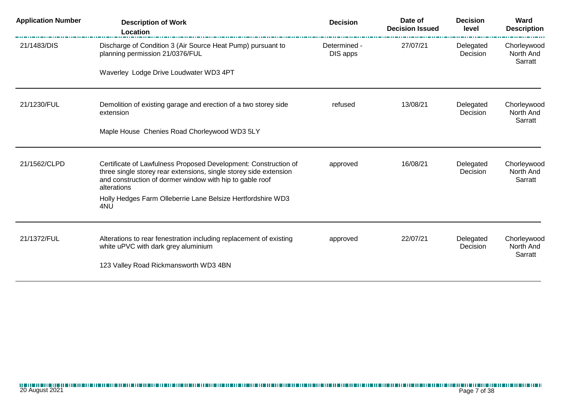| <b>Application Number</b> | <b>Description of Work</b><br><b>Location</b>                                                                                                                                                                   | <b>Decision</b>          | Date of<br><b>Decision Issued</b> | <b>Decision</b><br>level | Ward<br><b>Description</b>          |
|---------------------------|-----------------------------------------------------------------------------------------------------------------------------------------------------------------------------------------------------------------|--------------------------|-----------------------------------|--------------------------|-------------------------------------|
| 21/1483/DIS               | Discharge of Condition 3 (Air Source Heat Pump) pursuant to<br>planning permission 21/0376/FUL                                                                                                                  | Determined -<br>DIS apps | 27/07/21                          | Delegated<br>Decision    | Chorleywood<br>North And<br>Sarratt |
|                           | Waverley Lodge Drive Loudwater WD3 4PT                                                                                                                                                                          |                          |                                   |                          |                                     |
| 21/1230/FUL               | Demolition of existing garage and erection of a two storey side<br>extension                                                                                                                                    | refused                  | 13/08/21                          | Delegated<br>Decision    | Chorleywood<br>North And<br>Sarratt |
|                           | Maple House Chenies Road Chorleywood WD3 5LY                                                                                                                                                                    |                          |                                   |                          |                                     |
| 21/1562/CLPD              | Certificate of Lawfulness Proposed Development: Construction of<br>three single storey rear extensions, single storey side extension<br>and construction of dormer window with hip to gable roof<br>alterations | approved                 | 16/08/21                          | Delegated<br>Decision    | Chorleywood<br>North And<br>Sarratt |
|                           | Holly Hedges Farm Olleberrie Lane Belsize Hertfordshire WD3<br>4NU                                                                                                                                              |                          |                                   |                          |                                     |
| 21/1372/FUL               | Alterations to rear fenestration including replacement of existing<br>white uPVC with dark grey aluminium                                                                                                       | approved                 | 22/07/21                          | Delegated<br>Decision    | Chorleywood<br>North And<br>Sarratt |
|                           | 123 Valley Road Rickmansworth WD3 4BN                                                                                                                                                                           |                          |                                   |                          |                                     |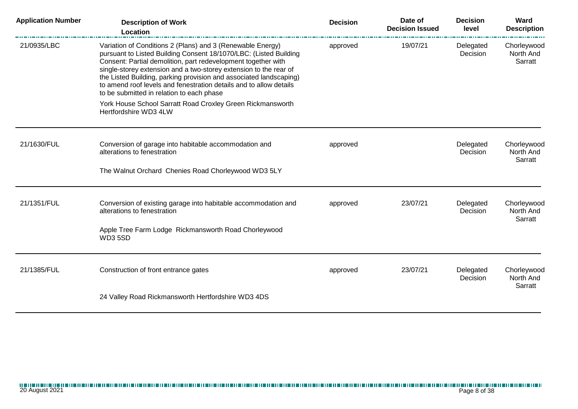| <b>Application Number</b> | <b>Description of Work</b><br>Location                                                                                                                                                                                                                                                                                                                                                                                                                         | <b>Decision</b> | Date of<br><b>Decision Issued</b> | <b>Decision</b><br>level | Ward<br><b>Description</b>          |
|---------------------------|----------------------------------------------------------------------------------------------------------------------------------------------------------------------------------------------------------------------------------------------------------------------------------------------------------------------------------------------------------------------------------------------------------------------------------------------------------------|-----------------|-----------------------------------|--------------------------|-------------------------------------|
| 21/0935/LBC               | Variation of Conditions 2 (Plans) and 3 (Renewable Energy)<br>pursuant to Listed Building Consent 18/1070/LBC: (Listed Building<br>Consent: Partial demolition, part redevelopment together with<br>single-storey extension and a two-storey extension to the rear of<br>the Listed Building, parking provision and associated landscaping)<br>to amend roof levels and fenestration details and to allow details<br>to be submitted in relation to each phase | approved        | 19/07/21                          | Delegated<br>Decision    | Chorleywood<br>North And<br>Sarratt |
|                           | York House School Sarratt Road Croxley Green Rickmansworth<br>Hertfordshire WD3 4LW                                                                                                                                                                                                                                                                                                                                                                            |                 |                                   |                          |                                     |
| 21/1630/FUL               | Conversion of garage into habitable accommodation and<br>alterations to fenestration                                                                                                                                                                                                                                                                                                                                                                           | approved        |                                   | Delegated<br>Decision    | Chorleywood<br>North And<br>Sarratt |
|                           | The Walnut Orchard Chenies Road Chorleywood WD3 5LY                                                                                                                                                                                                                                                                                                                                                                                                            |                 |                                   |                          |                                     |
| 21/1351/FUL               | Conversion of existing garage into habitable accommodation and<br>alterations to fenestration                                                                                                                                                                                                                                                                                                                                                                  | approved        | 23/07/21                          | Delegated<br>Decision    | Chorleywood<br>North And<br>Sarratt |
|                           | Apple Tree Farm Lodge Rickmansworth Road Chorleywood<br>WD3 5SD                                                                                                                                                                                                                                                                                                                                                                                                |                 |                                   |                          |                                     |
| 21/1385/FUL               | Construction of front entrance gates                                                                                                                                                                                                                                                                                                                                                                                                                           | approved        | 23/07/21                          | Delegated<br>Decision    | Chorleywood<br>North And<br>Sarratt |
|                           | 24 Valley Road Rickmansworth Hertfordshire WD3 4DS                                                                                                                                                                                                                                                                                                                                                                                                             |                 |                                   |                          |                                     |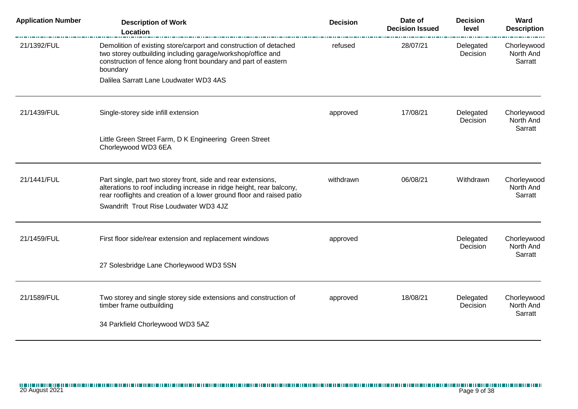| <b>Description of Work</b><br>Location                                                                                                                                                                                                                    | <b>Decision</b>                        | Date of<br><b>Decision Issued</b> | <b>Decision</b><br>level | Ward<br><b>Description</b>          |
|-----------------------------------------------------------------------------------------------------------------------------------------------------------------------------------------------------------------------------------------------------------|----------------------------------------|-----------------------------------|--------------------------|-------------------------------------|
| Demolition of existing store/carport and construction of detached<br>two storey outbuilding including garage/workshop/office and<br>construction of fence along front boundary and part of eastern<br>boundary                                            | refused                                | 28/07/21                          | Delegated<br>Decision    | Chorleywood<br>North And<br>Sarratt |
|                                                                                                                                                                                                                                                           |                                        |                                   |                          |                                     |
| Single-storey side infill extension                                                                                                                                                                                                                       | approved                               | 17/08/21                          | Delegated<br>Decision    | Chorleywood<br>North And<br>Sarratt |
| Little Green Street Farm, D K Engineering Green Street<br>Chorleywood WD3 6EA                                                                                                                                                                             |                                        |                                   |                          |                                     |
| Part single, part two storey front, side and rear extensions,<br>alterations to roof including increase in ridge height, rear balcony,<br>rear rooflights and creation of a lower ground floor and raised patio<br>Swandrift Trout Rise Loudwater WD3 4JZ | withdrawn                              | 06/08/21                          | Withdrawn                | Chorleywood<br>North And<br>Sarratt |
| First floor side/rear extension and replacement windows                                                                                                                                                                                                   | approved                               |                                   | Delegated<br>Decision    | Chorleywood<br>North And<br>Sarratt |
| 27 Solesbridge Lane Chorleywood WD3 5SN                                                                                                                                                                                                                   |                                        |                                   |                          |                                     |
| Two storey and single storey side extensions and construction of<br>timber frame outbuilding<br>34 Parkfield Chorleywood WD3 5AZ                                                                                                                          | approved                               | 18/08/21                          | Delegated<br>Decision    | Chorleywood<br>North And<br>Sarratt |
|                                                                                                                                                                                                                                                           | Dalilea Sarratt Lane Loudwater WD3 4AS |                                   |                          |                                     |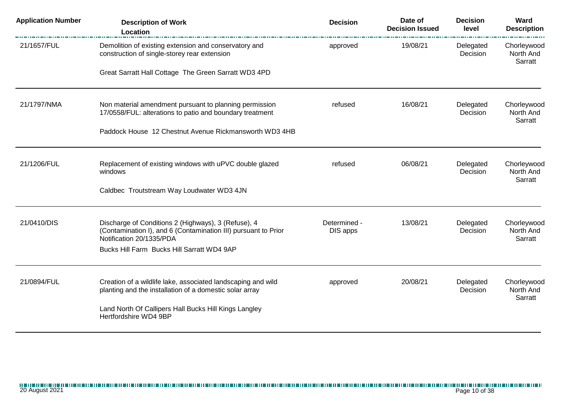| <b>Application Number</b> | <b>Description of Work</b><br>Location                                                                                | <b>Decision</b>          | Date of<br><b>Decision Issued</b> | <b>Decision</b><br>level | Ward<br><b>Description</b>          |
|---------------------------|-----------------------------------------------------------------------------------------------------------------------|--------------------------|-----------------------------------|--------------------------|-------------------------------------|
| 21/1657/FUL               | Demolition of existing extension and conservatory and<br>construction of single-storey rear extension                 | approved                 | 19/08/21                          | Delegated<br>Decision    | Chorleywood<br>North And<br>Sarratt |
|                           | Great Sarratt Hall Cottage The Green Sarratt WD3 4PD                                                                  |                          |                                   |                          |                                     |
| 21/1797/NMA               | Non material amendment pursuant to planning permission<br>17/0558/FUL: alterations to patio and boundary treatment    | refused                  | 16/08/21                          | Delegated<br>Decision    | Chorleywood<br>North And            |
|                           | Paddock House 12 Chestnut Avenue Rickmansworth WD3 4HB                                                                |                          |                                   |                          | Sarratt                             |
| 21/1206/FUL               | Replacement of existing windows with uPVC double glazed<br>windows                                                    | refused                  | 06/08/21                          | Delegated<br>Decision    | Chorleywood<br>North And            |
|                           | Caldbec Troutstream Way Loudwater WD3 4JN                                                                             |                          |                                   |                          | Sarratt                             |
| 21/0410/DIS               | Discharge of Conditions 2 (Highways), 3 (Refuse), 4<br>(Contamination I), and 6 (Contamination III) pursuant to Prior | Determined -<br>DIS apps | 13/08/21                          | Delegated<br>Decision    | Chorleywood<br>North And            |
|                           | Notification 20/1335/PDA<br>Bucks Hill Farm Bucks Hill Sarratt WD4 9AP                                                |                          |                                   |                          | Sarratt                             |
| 21/0894/FUL               | Creation of a wildlife lake, associated landscaping and wild                                                          | approved                 | 20/08/21                          | Delegated                | Chorleywood                         |
|                           | planting and the installation of a domestic solar array<br>Land North Of Callipers Hall Bucks Hill Kings Langley      |                          |                                   | Decision                 | North And<br>Sarratt                |
|                           | Hertfordshire WD4 9BP                                                                                                 |                          |                                   |                          |                                     |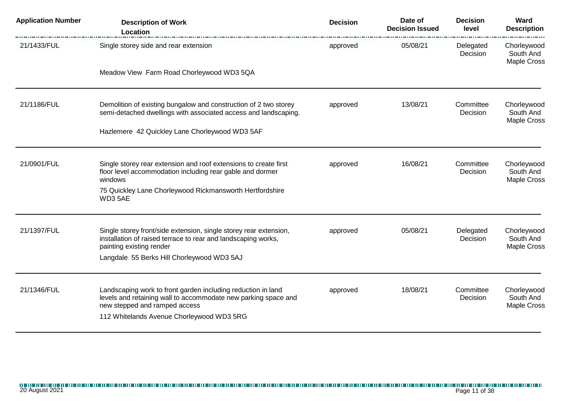| <b>Application Number</b> | <b>Description of Work</b><br>Location                                                                                                   | <b>Decision</b> | Date of<br><b>Decision Issued</b> | <b>Decision</b><br>level | Ward<br><b>Description</b>              |
|---------------------------|------------------------------------------------------------------------------------------------------------------------------------------|-----------------|-----------------------------------|--------------------------|-----------------------------------------|
| 21/1433/FUL               | Single storey side and rear extension                                                                                                    | approved        | 05/08/21                          | Delegated<br>Decision    | Chorleywood<br>South And<br>Maple Cross |
|                           | Meadow View Farm Road Chorleywood WD3 5QA                                                                                                |                 |                                   |                          |                                         |
| 21/1186/FUL               | Demolition of existing bungalow and construction of 2 two storey<br>semi-detached dwellings with associated access and landscaping.      | approved        | 13/08/21                          | Committee<br>Decision    | Chorleywood<br>South And<br>Maple Cross |
|                           | Hazlemere 42 Quickley Lane Chorleywood WD3 5AF                                                                                           |                 |                                   |                          |                                         |
| 21/0901/FUL               | Single storey rear extension and roof extensions to create first<br>floor level accommodation including rear gable and dormer<br>windows | approved        | 16/08/21                          | Committee<br>Decision    | Chorleywood<br>South And<br>Maple Cross |
|                           | 75 Quickley Lane Chorleywood Rickmansworth Hertfordshire<br>WD3 5AE                                                                      |                 |                                   |                          |                                         |
| 21/1397/FUL               | Single storey front/side extension, single storey rear extension,                                                                        | approved        | 05/08/21                          | Delegated                | Chorleywood                             |
|                           | installation of raised terrace to rear and landscaping works,<br>painting existing render                                                |                 |                                   | Decision                 | South And<br>Maple Cross                |
|                           | Langdale 55 Berks Hill Chorleywood WD3 5AJ                                                                                               |                 |                                   |                          |                                         |
| 21/1346/FUL               | Landscaping work to front garden including reduction in land                                                                             | approved        | 18/08/21                          | Committee                | Chorleywood                             |
|                           | levels and retaining wall to accommodate new parking space and<br>new stepped and ramped access                                          |                 |                                   | Decision                 | South And<br>Maple Cross                |
|                           | 112 Whitelands Avenue Chorleywood WD3 5RG                                                                                                |                 |                                   |                          |                                         |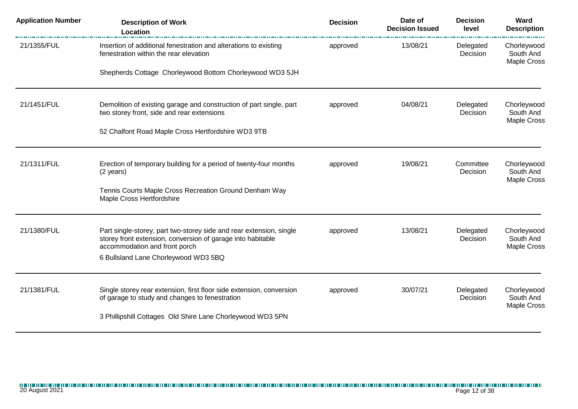| <b>Application Number</b> | <b>Description of Work</b><br>Location                                                                            | <b>Decision</b> | Date of<br><b>Decision Issued</b> | <b>Decision</b><br>level | Ward<br><b>Description</b>              |
|---------------------------|-------------------------------------------------------------------------------------------------------------------|-----------------|-----------------------------------|--------------------------|-----------------------------------------|
| 21/1355/FUL               | Insertion of additional fenestration and alterations to existing<br>fenestration within the rear elevation        | approved        | 13/08/21                          | Delegated<br>Decision    | Chorleywood<br>South And<br>Maple Cross |
|                           | Shepherds Cottage Chorleywood Bottom Chorleywood WD3 5JH                                                          |                 |                                   |                          |                                         |
| 21/1451/FUL               | Demolition of existing garage and construction of part single, part<br>two storey front, side and rear extensions | approved        | 04/08/21                          | Delegated<br>Decision    | Chorleywood<br>South And                |
|                           |                                                                                                                   |                 |                                   |                          | Maple Cross                             |
|                           | 52 Chalfont Road Maple Cross Hertfordshire WD3 9TB                                                                |                 |                                   |                          |                                         |
| 21/1311/FUL               | Erection of temporary building for a period of twenty-four months                                                 | approved        | 19/08/21                          | Committee                | Chorleywood                             |
|                           | (2 years)                                                                                                         |                 |                                   | Decision                 | South And<br>Maple Cross                |
|                           | Tennis Courts Maple Cross Recreation Ground Denham Way<br>Maple Cross Hertfordshire                               |                 |                                   |                          |                                         |
| 21/1380/FUL               | Part single-storey, part two-storey side and rear extension, single                                               | approved        | 13/08/21                          | Delegated                | Chorleywood                             |
|                           | storey front extension, conversion of garage into habitable<br>accommodation and front porch                      |                 |                                   | Decision                 | South And<br>Maple Cross                |
|                           | 6 Bullsland Lane Chorleywood WD3 5BQ                                                                              |                 |                                   |                          |                                         |
| 21/1381/FUL               | Single storey rear extension, first floor side extension, conversion                                              | approved        | 30/07/21                          | Delegated                | Chorleywood                             |
|                           | of garage to study and changes to fenestration                                                                    |                 |                                   | Decision                 | South And<br>Maple Cross                |
|                           | 3 Phillipshill Cottages Old Shire Lane Chorleywood WD3 5PN                                                        |                 |                                   |                          |                                         |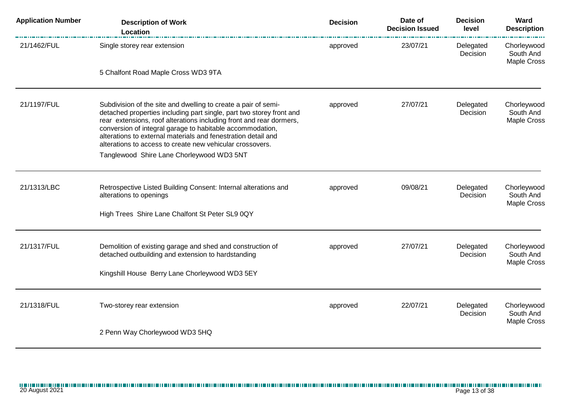| <b>Application Number</b> | <b>Description of Work</b><br>Location                                                                                                                                                                                                                                                                                                                                                                   | <b>Decision</b> | Date of<br><b>Decision Issued</b> | <b>Decision</b><br>level | Ward<br><b>Description</b>                     |
|---------------------------|----------------------------------------------------------------------------------------------------------------------------------------------------------------------------------------------------------------------------------------------------------------------------------------------------------------------------------------------------------------------------------------------------------|-----------------|-----------------------------------|--------------------------|------------------------------------------------|
| 21/1462/FUL               | Single storey rear extension                                                                                                                                                                                                                                                                                                                                                                             | approved        | 23/07/21                          | Delegated<br>Decision    | Chorleywood<br>South And<br>Maple Cross        |
|                           | 5 Chalfont Road Maple Cross WD3 9TA                                                                                                                                                                                                                                                                                                                                                                      |                 |                                   |                          |                                                |
| 21/1197/FUL               | Subdivision of the site and dwelling to create a pair of semi-<br>detached properties including part single, part two storey front and<br>rear extensions, roof alterations including front and rear dormers,<br>conversion of integral garage to habitable accommodation,<br>alterations to external materials and fenestration detail and<br>alterations to access to create new vehicular crossovers. | approved        | 27/07/21                          | Delegated<br>Decision    | Chorleywood<br>South And<br>Maple Cross        |
|                           | Tanglewood Shire Lane Chorleywood WD3 5NT                                                                                                                                                                                                                                                                                                                                                                |                 |                                   |                          |                                                |
| 21/1313/LBC               | Retrospective Listed Building Consent: Internal alterations and<br>alterations to openings                                                                                                                                                                                                                                                                                                               | approved        | 09/08/21                          | Delegated<br>Decision    | Chorleywood<br>South And<br>Maple Cross        |
|                           | High Trees Shire Lane Chalfont St Peter SL9 0QY                                                                                                                                                                                                                                                                                                                                                          |                 |                                   |                          |                                                |
| 21/1317/FUL               | Demolition of existing garage and shed and construction of<br>detached outbuilding and extension to hardstanding                                                                                                                                                                                                                                                                                         | approved        | 27/07/21                          | Delegated<br>Decision    | Chorleywood<br>South And<br><b>Maple Cross</b> |
|                           | Kingshill House Berry Lane Chorleywood WD3 5EY                                                                                                                                                                                                                                                                                                                                                           |                 |                                   |                          |                                                |
| 21/1318/FUL               | Two-storey rear extension                                                                                                                                                                                                                                                                                                                                                                                | approved        | 22/07/21                          | Delegated<br>Decision    | Chorleywood<br>South And<br>Maple Cross        |
|                           | 2 Penn Way Chorleywood WD3 5HQ                                                                                                                                                                                                                                                                                                                                                                           |                 |                                   |                          |                                                |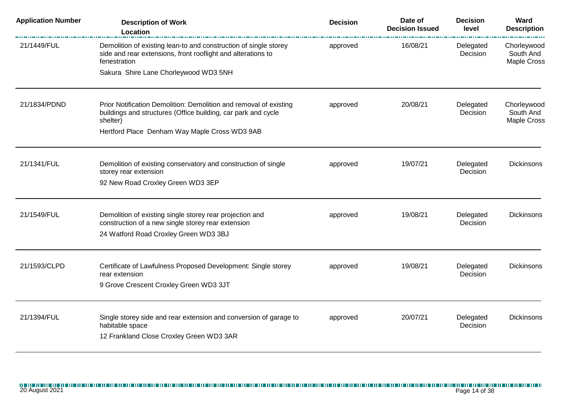| <b>Application Number</b> | <b>Description of Work</b><br>Location                                                                                                           | <b>Decision</b> | Date of<br><b>Decision Issued</b> | <b>Decision</b><br>level | Ward<br><b>Description</b>                     |
|---------------------------|--------------------------------------------------------------------------------------------------------------------------------------------------|-----------------|-----------------------------------|--------------------------|------------------------------------------------|
| 21/1449/FUL               | Demolition of existing lean-to and construction of single storey<br>side and rear extensions, front rooflight and alterations to<br>fenestration | approved        | 16/08/21                          | Delegated<br>Decision    | Chorleywood<br>South And<br><b>Maple Cross</b> |
|                           | Sakura Shire Lane Chorleywood WD3 5NH                                                                                                            |                 |                                   |                          |                                                |
| 21/1834/PDND              | Prior Notification Demolition: Demolition and removal of existing<br>buildings and structures (Office building, car park and cycle<br>shelter)   | approved        | 20/08/21                          | Delegated<br>Decision    | Chorleywood<br>South And<br><b>Maple Cross</b> |
|                           | Hertford Place Denham Way Maple Cross WD3 9AB                                                                                                    |                 |                                   |                          |                                                |
| 21/1341/FUL               | Demolition of existing conservatory and construction of single<br>storey rear extension                                                          | approved        | 19/07/21                          | Delegated<br>Decision    | <b>Dickinsons</b>                              |
|                           | 92 New Road Croxley Green WD3 3EP                                                                                                                |                 |                                   |                          |                                                |
| 21/1549/FUL               | Demolition of existing single storey rear projection and<br>construction of a new single storey rear extension                                   | approved        | 19/08/21                          | Delegated<br>Decision    | Dickinsons                                     |
|                           | 24 Watford Road Croxley Green WD3 3BJ                                                                                                            |                 |                                   |                          |                                                |
| 21/1593/CLPD              | Certificate of Lawfulness Proposed Development: Single storey<br>rear extension                                                                  | approved        | 19/08/21                          | Delegated<br>Decision    | <b>Dickinsons</b>                              |
|                           | 9 Grove Crescent Croxley Green WD3 3JT                                                                                                           |                 |                                   |                          |                                                |
| 21/1394/FUL               | Single storey side and rear extension and conversion of garage to                                                                                | approved        | 20/07/21                          | Delegated                | <b>Dickinsons</b>                              |
|                           | habitable space<br>12 Frankland Close Croxley Green WD3 3AR                                                                                      |                 |                                   | Decision                 |                                                |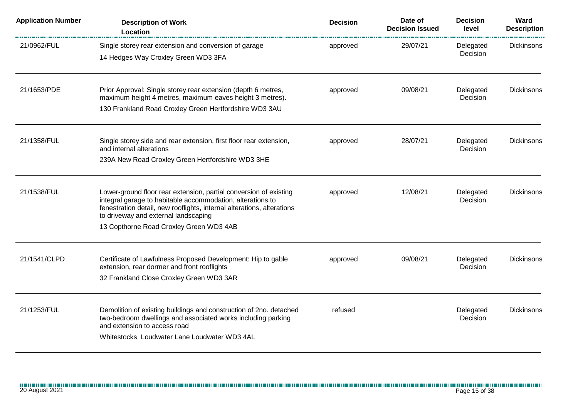| <b>Application Number</b> | <b>Description of Work</b><br>Location                                                                                                                                                                                                                                                       | <b>Decision</b> | Date of<br><b>Decision Issued</b> | <b>Decision</b><br>level | Ward<br><b>Description</b> |
|---------------------------|----------------------------------------------------------------------------------------------------------------------------------------------------------------------------------------------------------------------------------------------------------------------------------------------|-----------------|-----------------------------------|--------------------------|----------------------------|
| 21/0962/FUL               | Single storey rear extension and conversion of garage<br>14 Hedges Way Croxley Green WD3 3FA                                                                                                                                                                                                 | approved        | 29/07/21                          | Delegated<br>Decision    | Dickinsons                 |
| 21/1653/PDE               | Prior Approval: Single storey rear extension (depth 6 metres,<br>maximum height 4 metres, maximum eaves height 3 metres).<br>130 Frankland Road Croxley Green Hertfordshire WD3 3AU                                                                                                          | approved        | 09/08/21                          | Delegated<br>Decision    | <b>Dickinsons</b>          |
| 21/1358/FUL               | Single storey side and rear extension, first floor rear extension,<br>and internal alterations<br>239A New Road Croxley Green Hertfordshire WD3 3HE                                                                                                                                          | approved        | 28/07/21                          | Delegated<br>Decision    | <b>Dickinsons</b>          |
| 21/1538/FUL               | Lower-ground floor rear extension, partial conversion of existing<br>integral garage to habitable accommodation, alterations to<br>fenestration detail, new rooflights, internal alterations, alterations<br>to driveway and external landscaping<br>13 Copthorne Road Croxley Green WD3 4AB | approved        | 12/08/21                          | Delegated<br>Decision    | <b>Dickinsons</b>          |
| 21/1541/CLPD              | Certificate of Lawfulness Proposed Development: Hip to gable<br>extension, rear dormer and front rooflights<br>32 Frankland Close Croxley Green WD3 3AR                                                                                                                                      | approved        | 09/08/21                          | Delegated<br>Decision    | <b>Dickinsons</b>          |
| 21/1253/FUL               | Demolition of existing buildings and construction of 2no. detached<br>two-bedroom dwellings and associated works including parking<br>and extension to access road<br>Whitestocks Loudwater Lane Loudwater WD3 4AL                                                                           | refused         |                                   | Delegated<br>Decision    | Dickinsons                 |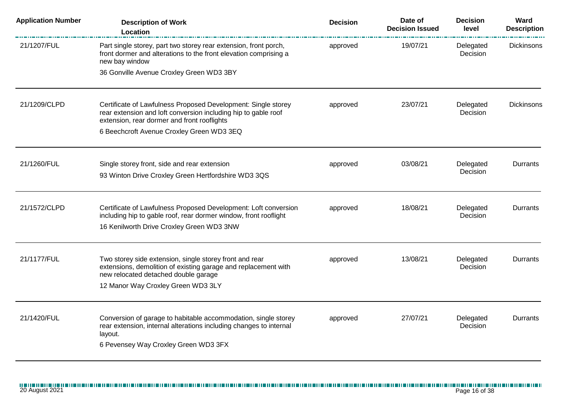| <b>Application Number</b> | <b>Description of Work</b><br>Location                                                                                                                                                  | <b>Decision</b> | Date of<br><b>Decision Issued</b> | <b>Decision</b><br>level | Ward<br><b>Description</b> |
|---------------------------|-----------------------------------------------------------------------------------------------------------------------------------------------------------------------------------------|-----------------|-----------------------------------|--------------------------|----------------------------|
| 21/1207/FUL               | Part single storey, part two storey rear extension, front porch,<br>front dormer and alterations to the front elevation comprising a<br>new bay window                                  | approved        | 19/07/21                          | Delegated<br>Decision    | Dickinsons                 |
|                           | 36 Gonville Avenue Croxley Green WD3 3BY                                                                                                                                                |                 |                                   |                          |                            |
| 21/1209/CLPD              | Certificate of Lawfulness Proposed Development: Single storey<br>rear extension and loft conversion including hip to gable roof<br>extension, rear dormer and front rooflights          | approved        | 23/07/21                          | Delegated<br>Decision    | Dickinsons                 |
|                           | 6 Beechcroft Avenue Croxley Green WD3 3EQ                                                                                                                                               |                 |                                   |                          |                            |
| 21/1260/FUL               | Single storey front, side and rear extension<br>93 Winton Drive Croxley Green Hertfordshire WD3 3QS                                                                                     | approved        | 03/08/21                          | Delegated<br>Decision    | Durrants                   |
|                           |                                                                                                                                                                                         |                 |                                   |                          |                            |
| 21/1572/CLPD              | Certificate of Lawfulness Proposed Development: Loft conversion<br>including hip to gable roof, rear dormer window, front rooflight<br>16 Kenilworth Drive Croxley Green WD3 3NW        | approved        | 18/08/21                          | Delegated<br>Decision    | Durrants                   |
| 21/1177/FUL               | Two storey side extension, single storey front and rear<br>extensions, demolition of existing garage and replacement with<br>new relocated detached double garage                       | approved        | 13/08/21                          | Delegated<br>Decision    | Durrants                   |
|                           | 12 Manor Way Croxley Green WD3 3LY                                                                                                                                                      |                 |                                   |                          |                            |
| 21/1420/FUL               | Conversion of garage to habitable accommodation, single storey<br>rear extension, internal alterations including changes to internal<br>layout.<br>6 Pevensey Way Croxley Green WD3 3FX | approved        | 27/07/21                          | Delegated<br>Decision    | Durrants                   |
|                           |                                                                                                                                                                                         |                 |                                   |                          |                            |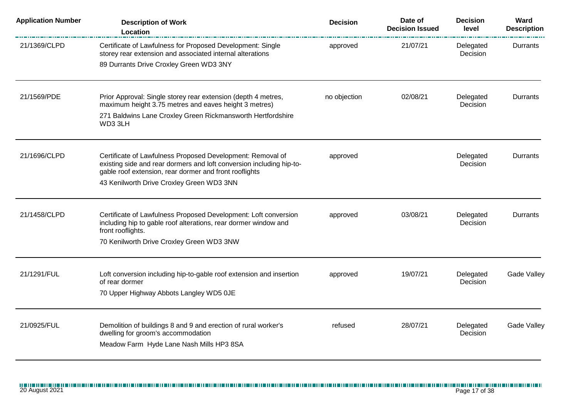| <b>Description of Work</b><br>Location                                                                                                                  | <b>Decision</b>                                                                                                  | Date of<br><b>Decision Issued</b> | <b>Decision</b><br>level     | Ward<br><b>Description</b> |
|---------------------------------------------------------------------------------------------------------------------------------------------------------|------------------------------------------------------------------------------------------------------------------|-----------------------------------|------------------------------|----------------------------|
| Certificate of Lawfulness for Proposed Development: Single<br>storey rear extension and associated internal alterations                                 | approved                                                                                                         | 21/07/21                          | Delegated<br>Decision        | Durrants                   |
| 89 Durrants Drive Croxley Green WD3 3NY                                                                                                                 |                                                                                                                  |                                   |                              |                            |
| Prior Approval: Single storey rear extension (depth 4 metres,<br>maximum height 3.75 metres and eaves height 3 metres)                                  | no objection                                                                                                     | 02/08/21                          | Delegated<br><b>Decision</b> | Durrants                   |
| 271 Baldwins Lane Croxley Green Rickmansworth Hertfordshire<br>WD3 3LH                                                                                  |                                                                                                                  |                                   |                              |                            |
| Certificate of Lawfulness Proposed Development: Removal of                                                                                              | approved                                                                                                         |                                   | Delegated                    | Durrants                   |
| gable roof extension, rear dormer and front rooflights<br>43 Kenilworth Drive Croxley Green WD3 3NN                                                     |                                                                                                                  |                                   |                              |                            |
| Certificate of Lawfulness Proposed Development: Loft conversion<br>including hip to gable roof alterations, rear dormer window and<br>front rooflights. | approved                                                                                                         | 03/08/21                          | Delegated<br>Decision        | Durrants                   |
| 70 Kenilworth Drive Croxley Green WD3 3NW                                                                                                               |                                                                                                                  |                                   |                              |                            |
| Loft conversion including hip-to-gable roof extension and insertion<br>of rear dormer                                                                   | approved                                                                                                         | 19/07/21                          | Delegated<br>Decision        | <b>Gade Valley</b>         |
| 70 Upper Highway Abbots Langley WD5 0JE                                                                                                                 |                                                                                                                  |                                   |                              |                            |
| Demolition of buildings 8 and 9 and erection of rural worker's<br>dwelling for groom's accommodation                                                    | refused                                                                                                          | 28/07/21                          | Delegated<br>Decision        | Gade Valley                |
|                                                                                                                                                         | existing side and rear dormers and loft conversion including hip-to-<br>Meadow Farm Hyde Lane Nash Mills HP3 8SA |                                   |                              | Decision                   |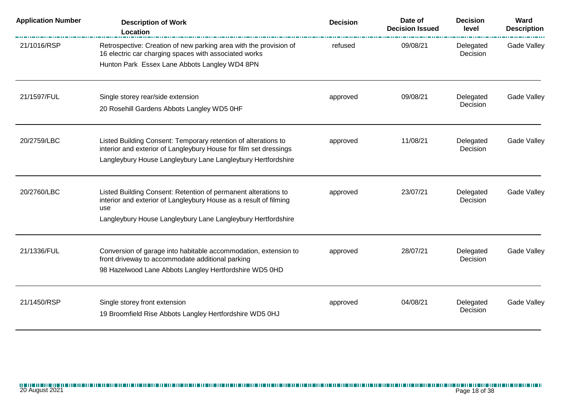| <b>Application Number</b> | <b>Description of Work</b><br>Location                                                                                                     | <b>Decision</b> | Date of<br><b>Decision Issued</b> | <b>Decision</b><br>level | Ward<br><b>Description</b> |
|---------------------------|--------------------------------------------------------------------------------------------------------------------------------------------|-----------------|-----------------------------------|--------------------------|----------------------------|
| 21/1016/RSP               | Retrospective: Creation of new parking area with the provision of<br>16 electric car charging spaces with associated works                 | refused         | 09/08/21                          | Delegated<br>Decision    | <b>Gade Valley</b>         |
|                           | Hunton Park Essex Lane Abbots Langley WD4 8PN                                                                                              |                 |                                   |                          |                            |
| 21/1597/FUL               | Single storey rear/side extension                                                                                                          | approved        | 09/08/21                          | Delegated                | Gade Valley                |
|                           | 20 Rosehill Gardens Abbots Langley WD5 0HF                                                                                                 |                 |                                   | Decision                 |                            |
| 20/2759/LBC               | Listed Building Consent: Temporary retention of alterations to                                                                             | approved        | 11/08/21                          | Delegated                | Gade Valley                |
|                           | interior and exterior of Langleybury House for film set dressings<br>Langleybury House Langleybury Lane Langleybury Hertfordshire          |                 |                                   | Decision                 |                            |
| 20/2760/LBC               | Listed Building Consent: Retention of permanent alterations to<br>interior and exterior of Langleybury House as a result of filming<br>use | approved        | 23/07/21                          | Delegated<br>Decision    | Gade Valley                |
|                           | Langleybury House Langleybury Lane Langleybury Hertfordshire                                                                               |                 |                                   |                          |                            |
| 21/1336/FUL               | Conversion of garage into habitable accommodation, extension to<br>front driveway to accommodate additional parking                        | approved        | 28/07/21                          | Delegated<br>Decision    | Gade Valley                |
|                           | 98 Hazelwood Lane Abbots Langley Hertfordshire WD5 0HD                                                                                     |                 |                                   |                          |                            |
| 21/1450/RSP               | Single storey front extension                                                                                                              | approved        | 04/08/21                          | Delegated                | Gade Valley                |
|                           | 19 Broomfield Rise Abbots Langley Hertfordshire WD5 0HJ                                                                                    |                 |                                   | Decision                 |                            |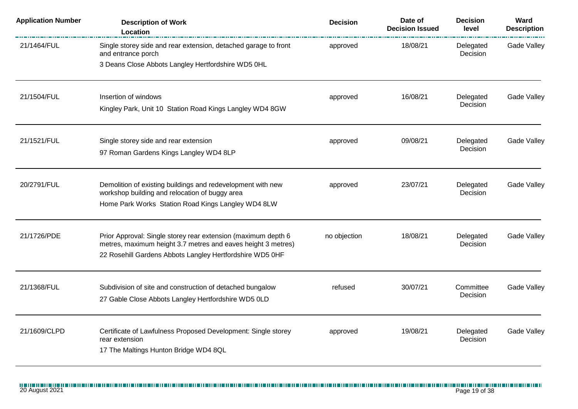| <b>Application Number</b> | <b>Description of Work</b><br>Location                                                                                   | <b>Decision</b> | Date of<br><b>Decision Issued</b> | <b>Decision</b><br>level | Ward<br><b>Description</b> |
|---------------------------|--------------------------------------------------------------------------------------------------------------------------|-----------------|-----------------------------------|--------------------------|----------------------------|
| 21/1464/FUL               | Single storey side and rear extension, detached garage to front<br>and entrance porch                                    | approved        | 18/08/21                          | Delegated<br>Decision    | Gade Valley                |
|                           | 3 Deans Close Abbots Langley Hertfordshire WD5 0HL                                                                       |                 |                                   |                          |                            |
| 21/1504/FUL               | Insertion of windows                                                                                                     | approved        | 16/08/21                          | Delegated                | Gade Valley                |
|                           | Kingley Park, Unit 10 Station Road Kings Langley WD4 8GW                                                                 |                 |                                   | Decision                 |                            |
| 21/1521/FUL               | Single storey side and rear extension                                                                                    | approved        | 09/08/21                          | Delegated                | <b>Gade Valley</b>         |
|                           | 97 Roman Gardens Kings Langley WD4 8LP                                                                                   |                 |                                   | Decision                 |                            |
| 20/2791/FUL               | Demolition of existing buildings and redevelopment with new<br>workshop building and relocation of buggy area            | approved        | 23/07/21                          | Delegated<br>Decision    | Gade Valley                |
|                           | Home Park Works Station Road Kings Langley WD4 8LW                                                                       |                 |                                   |                          |                            |
| 21/1726/PDE               | Prior Approval: Single storey rear extension (maximum depth 6                                                            | no objection    | 18/08/21                          | Delegated                | Gade Valley                |
|                           | metres, maximum height 3.7 metres and eaves height 3 metres)<br>22 Rosehill Gardens Abbots Langley Hertfordshire WD5 0HF |                 |                                   | Decision                 |                            |
| 21/1368/FUL               | Subdivision of site and construction of detached bungalow                                                                | refused         | 30/07/21                          | Committee                | Gade Valley                |
|                           | 27 Gable Close Abbots Langley Hertfordshire WD5 0LD                                                                      |                 |                                   | Decision                 |                            |
| 21/1609/CLPD              | Certificate of Lawfulness Proposed Development: Single storey                                                            | approved        | 19/08/21                          | Delegated                | Gade Valley                |
|                           | rear extension<br>17 The Maltings Hunton Bridge WD4 8QL                                                                  |                 |                                   | Decision                 |                            |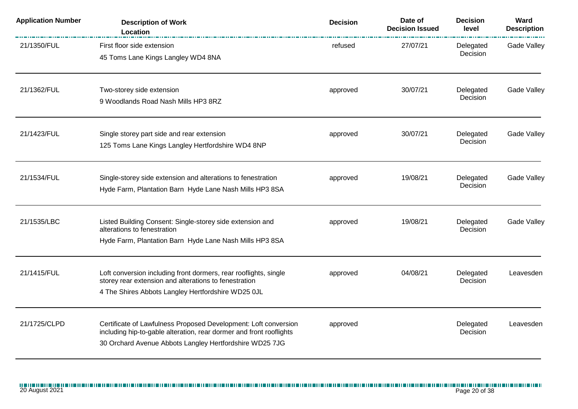| <b>Application Number</b> | <b>Description of Work</b><br>Location                                                                                                                                                            | <b>Decision</b> | Date of<br><b>Decision Issued</b> | <b>Decision</b><br>level | Ward<br><b>Description</b> |
|---------------------------|---------------------------------------------------------------------------------------------------------------------------------------------------------------------------------------------------|-----------------|-----------------------------------|--------------------------|----------------------------|
| 21/1350/FUL               | First floor side extension<br>45 Toms Lane Kings Langley WD4 8NA                                                                                                                                  | refused         | 27/07/21                          | Delegated<br>Decision    | Gade Valley                |
| 21/1362/FUL               | Two-storey side extension<br>9 Woodlands Road Nash Mills HP3 8RZ                                                                                                                                  | approved        | 30/07/21                          | Delegated<br>Decision    | Gade Valley                |
| 21/1423/FUL               | Single storey part side and rear extension<br>125 Toms Lane Kings Langley Hertfordshire WD4 8NP                                                                                                   | approved        | 30/07/21                          | Delegated<br>Decision    | Gade Valley                |
| 21/1534/FUL               | Single-storey side extension and alterations to fenestration<br>Hyde Farm, Plantation Barn Hyde Lane Nash Mills HP3 8SA                                                                           | approved        | 19/08/21                          | Delegated<br>Decision    | Gade Valley                |
| 21/1535/LBC               | Listed Building Consent: Single-storey side extension and<br>alterations to fenestration<br>Hyde Farm, Plantation Barn Hyde Lane Nash Mills HP3 8SA                                               | approved        | 19/08/21                          | Delegated<br>Decision    | Gade Valley                |
| 21/1415/FUL               | Loft conversion including front dormers, rear rooflights, single<br>storey rear extension and alterations to fenestration<br>4 The Shires Abbots Langley Hertfordshire WD25 OJL                   | approved        | 04/08/21                          | Delegated<br>Decision    | Leavesden                  |
| 21/1725/CLPD              | Certificate of Lawfulness Proposed Development: Loft conversion<br>including hip-to-gable alteration, rear dormer and front rooflights<br>30 Orchard Avenue Abbots Langley Hertfordshire WD25 7JG | approved        |                                   | Delegated<br>Decision    | Leavesden                  |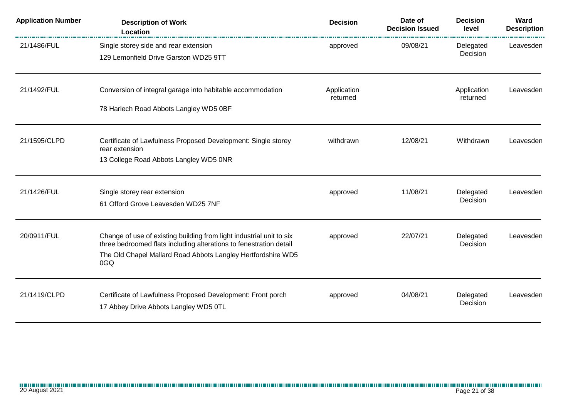| <b>Application Number</b> | <b>Description of Work</b><br>Location                                                                                                                                                                            | <b>Decision</b>         | Date of<br><b>Decision Issued</b> | <b>Decision</b><br>level | Ward<br><b>Description</b> |
|---------------------------|-------------------------------------------------------------------------------------------------------------------------------------------------------------------------------------------------------------------|-------------------------|-----------------------------------|--------------------------|----------------------------|
| 21/1486/FUL               | Single storey side and rear extension<br>129 Lemonfield Drive Garston WD25 9TT                                                                                                                                    | approved                | 09/08/21                          | Delegated<br>Decision    | Leavesden                  |
| 21/1492/FUL               | Conversion of integral garage into habitable accommodation<br>78 Harlech Road Abbots Langley WD5 0BF                                                                                                              | Application<br>returned |                                   | Application<br>returned  | Leavesden                  |
| 21/1595/CLPD              | Certificate of Lawfulness Proposed Development: Single storey<br>rear extension<br>13 College Road Abbots Langley WD5 0NR                                                                                         | withdrawn               | 12/08/21                          | Withdrawn                | Leavesden                  |
| 21/1426/FUL               | Single storey rear extension<br>61 Offord Grove Leavesden WD25 7NF                                                                                                                                                | approved                | 11/08/21                          | Delegated<br>Decision    | Leavesden                  |
| 20/0911/FUL               | Change of use of existing building from light industrial unit to six<br>three bedroomed flats including alterations to fenestration detail<br>The Old Chapel Mallard Road Abbots Langley Hertfordshire WD5<br>0GQ | approved                | 22/07/21                          | Delegated<br>Decision    | Leavesden                  |
| 21/1419/CLPD              | Certificate of Lawfulness Proposed Development: Front porch<br>17 Abbey Drive Abbots Langley WD5 0TL                                                                                                              | approved                | 04/08/21                          | Delegated<br>Decision    | Leavesden                  |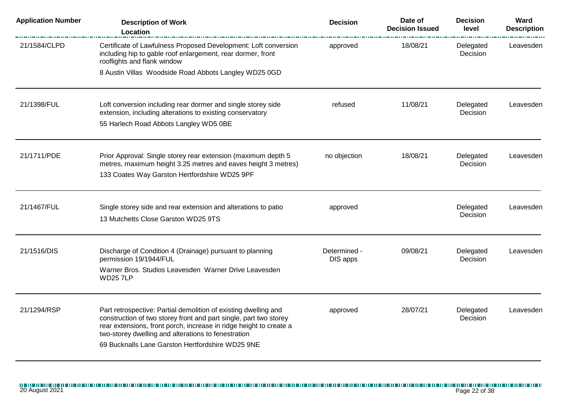| <b>Application Number</b> | <b>Description of Work</b><br>Location                                                                                                                                                                                                                                                                                | <b>Decision</b>          | Date of<br><b>Decision Issued</b> | <b>Decision</b><br>level | Ward<br><b>Description</b> |
|---------------------------|-----------------------------------------------------------------------------------------------------------------------------------------------------------------------------------------------------------------------------------------------------------------------------------------------------------------------|--------------------------|-----------------------------------|--------------------------|----------------------------|
| 21/1584/CLPD              | Certificate of Lawfulness Proposed Development: Loft conversion<br>including hip to gable roof enlargement, rear dormer, front<br>rooflights and flank window                                                                                                                                                         | approved                 | 18/08/21                          | Delegated<br>Decision    | Leavesden                  |
|                           | 8 Austin Villas Woodside Road Abbots Langley WD25 0GD                                                                                                                                                                                                                                                                 |                          |                                   |                          |                            |
| 21/1398/FUL               | Loft conversion including rear dormer and single storey side<br>extension, including alterations to existing conservatory<br>55 Harlech Road Abbots Langley WD5 0BE                                                                                                                                                   | refused                  | 11/08/21                          | Delegated<br>Decision    | Leavesden                  |
|                           |                                                                                                                                                                                                                                                                                                                       |                          |                                   |                          |                            |
| 21/1711/PDE               | Prior Approval: Single storey rear extension (maximum depth 5<br>metres, maximum height 3.25 metres and eaves height 3 metres)<br>133 Coates Way Garston Hertfordshire WD25 9PF                                                                                                                                       | no objection             | 18/08/21                          | Delegated<br>Decision    | Leavesden                  |
| 21/1467/FUL               | Single storey side and rear extension and alterations to patio<br>13 Mutchetts Close Garston WD25 9TS                                                                                                                                                                                                                 | approved                 |                                   | Delegated<br>Decision    | Leavesden                  |
| 21/1516/DIS               | Discharge of Condition 4 (Drainage) pursuant to planning<br>permission 19/1944/FUL<br>Warner Bros. Studios Leavesden Warner Drive Leavesden<br><b>WD257LP</b>                                                                                                                                                         | Determined -<br>DIS apps | 09/08/21                          | Delegated<br>Decision    | Leavesden                  |
| 21/1294/RSP               | Part retrospective: Partial demolition of existing dwelling and<br>construction of two storey front and part single, part two storey<br>rear extensions, front porch, increase in ridge height to create a<br>two-storey dwelling and alterations to fenestration<br>69 Bucknalls Lane Garston Hertfordshire WD25 9NE | approved                 | 28/07/21                          | Delegated<br>Decision    | Leavesden                  |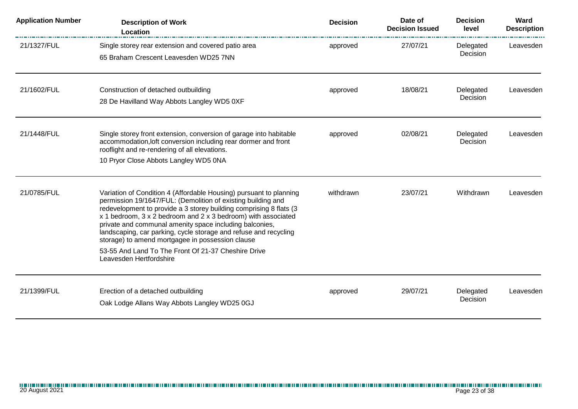| <b>Application Number</b> | <b>Description of Work</b><br>Location                                                                                                                                                                                                                                                                                                                                                                                                                                                                                                         | <b>Decision</b> | Date of<br><b>Decision Issued</b> | <b>Decision</b><br>level | Ward<br><b>Description</b> |
|---------------------------|------------------------------------------------------------------------------------------------------------------------------------------------------------------------------------------------------------------------------------------------------------------------------------------------------------------------------------------------------------------------------------------------------------------------------------------------------------------------------------------------------------------------------------------------|-----------------|-----------------------------------|--------------------------|----------------------------|
| 21/1327/FUL               | Single storey rear extension and covered patio area<br>65 Braham Crescent Leavesden WD25 7NN                                                                                                                                                                                                                                                                                                                                                                                                                                                   | approved        | 27/07/21                          | Delegated<br>Decision    | Leavesden                  |
| 21/1602/FUL               | Construction of detached outbuilding<br>28 De Havilland Way Abbots Langley WD5 0XF                                                                                                                                                                                                                                                                                                                                                                                                                                                             | approved        | 18/08/21                          | Delegated<br>Decision    | Leavesden                  |
| 21/1448/FUL               | Single storey front extension, conversion of garage into habitable<br>accommodation, loft conversion including rear dormer and front<br>rooflight and re-rendering of all elevations.<br>10 Pryor Close Abbots Langley WD5 0NA                                                                                                                                                                                                                                                                                                                 | approved        | 02/08/21                          | Delegated<br>Decision    | Leavesden                  |
| 21/0785/FUL               | Variation of Condition 4 (Affordable Housing) pursuant to planning<br>permission 19/1647/FUL: (Demolition of existing building and<br>redevelopment to provide a 3 storey building comprising 8 flats (3<br>x 1 bedroom, 3 x 2 bedroom and 2 x 3 bedroom) with associated<br>private and communal amenity space including balconies,<br>landscaping, car parking, cycle storage and refuse and recycling<br>storage) to amend mortgagee in possession clause<br>53-55 And Land To The Front Of 21-37 Cheshire Drive<br>Leavesden Hertfordshire | withdrawn       | 23/07/21                          | Withdrawn                | Leavesden                  |
| 21/1399/FUL               | Erection of a detached outbuilding<br>Oak Lodge Allans Way Abbots Langley WD25 0GJ                                                                                                                                                                                                                                                                                                                                                                                                                                                             | approved        | 29/07/21                          | Delegated<br>Decision    | Leavesden                  |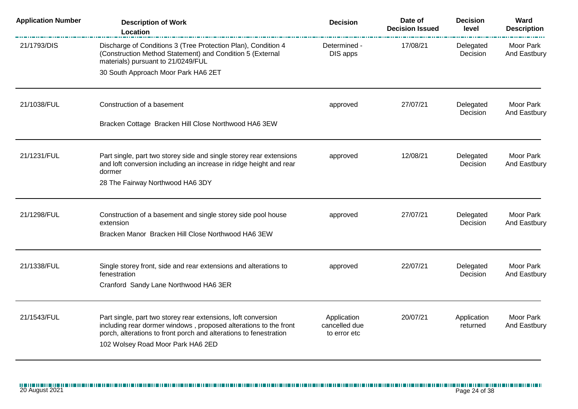| <b>Description of Work</b><br>Location                                                                                                                                                                                                      | <b>Decision</b>                              | Date of<br><b>Decision Issued</b> | <b>Decision</b><br>level | Ward<br><b>Description</b>       |
|---------------------------------------------------------------------------------------------------------------------------------------------------------------------------------------------------------------------------------------------|----------------------------------------------|-----------------------------------|--------------------------|----------------------------------|
| Discharge of Conditions 3 (Tree Protection Plan), Condition 4<br>(Construction Method Statement) and Condition 5 (External<br>materials) pursuant to 21/0249/FUL                                                                            | Determined -<br>DIS apps                     | 17/08/21                          | Delegated<br>Decision    | <b>Moor Park</b><br>And Eastbury |
| 30 South Approach Moor Park HA6 2ET                                                                                                                                                                                                         |                                              |                                   |                          |                                  |
| Construction of a basement                                                                                                                                                                                                                  | approved                                     | 27/07/21                          | Delegated<br>Decision    | Moor Park<br>And Eastbury        |
| Bracken Cottage Bracken Hill Close Northwood HA6 3EW                                                                                                                                                                                        |                                              |                                   |                          |                                  |
| Part single, part two storey side and single storey rear extensions<br>and loft conversion including an increase in ridge height and rear<br>dormer                                                                                         | approved                                     | 12/08/21                          | Delegated<br>Decision    | Moor Park<br>And Eastbury        |
| 28 The Fairway Northwood HA6 3DY                                                                                                                                                                                                            |                                              |                                   |                          |                                  |
| Construction of a basement and single storey side pool house<br>extension                                                                                                                                                                   | approved                                     | 27/07/21                          | Delegated<br>Decision    | Moor Park<br>And Eastbury        |
| Bracken Manor Bracken Hill Close Northwood HA6 3EW                                                                                                                                                                                          |                                              |                                   |                          |                                  |
| Single storey front, side and rear extensions and alterations to<br>fenestration                                                                                                                                                            | approved                                     | 22/07/21                          | Delegated<br>Decision    | Moor Park<br>And Eastbury        |
| Cranford Sandy Lane Northwood HA6 3ER                                                                                                                                                                                                       |                                              |                                   |                          |                                  |
| Part single, part two storey rear extensions, loft conversion<br>including rear dormer windows, proposed alterations to the front<br>porch, alterations to front porch and alterations to fenestration<br>102 Wolsey Road Moor Park HA6 2ED | Application<br>cancelled due<br>to error etc | 20/07/21                          | Application<br>returned  | Moor Park<br>And Eastbury        |
|                                                                                                                                                                                                                                             |                                              |                                   |                          |                                  |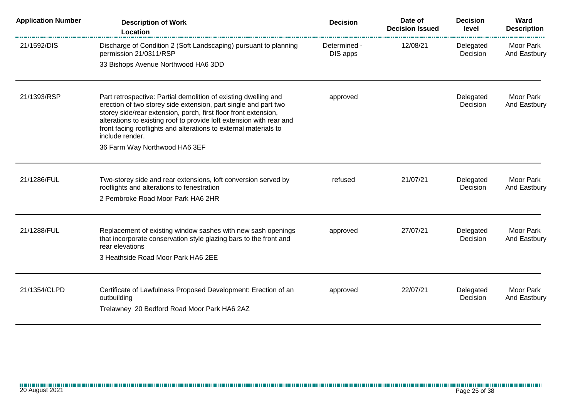| <b>Application Number</b> | <b>Description of Work</b><br>Location                                                                                                                                                                                                                                                                                                                               | <b>Decision</b>          | Date of<br><b>Decision Issued</b> | <b>Decision</b><br>level | Ward<br><b>Description</b> |
|---------------------------|----------------------------------------------------------------------------------------------------------------------------------------------------------------------------------------------------------------------------------------------------------------------------------------------------------------------------------------------------------------------|--------------------------|-----------------------------------|--------------------------|----------------------------|
| 21/1592/DIS               | Discharge of Condition 2 (Soft Landscaping) pursuant to planning<br>permission 21/0311/RSP                                                                                                                                                                                                                                                                           | Determined -<br>DIS apps | 12/08/21                          | Delegated<br>Decision    | Moor Park<br>And Eastbury  |
|                           | 33 Bishops Avenue Northwood HA6 3DD                                                                                                                                                                                                                                                                                                                                  |                          |                                   |                          |                            |
| 21/1393/RSP               | Part retrospective: Partial demolition of existing dwelling and<br>erection of two storey side extension, part single and part two<br>storey side/rear extension, porch, first floor front extension,<br>alterations to existing roof to provide loft extension with rear and<br>front facing rooflights and alterations to external materials to<br>include render. | approved                 |                                   | Delegated<br>Decision    | Moor Park<br>And Eastbury  |
|                           | 36 Farm Way Northwood HA6 3EF                                                                                                                                                                                                                                                                                                                                        |                          |                                   |                          |                            |
| 21/1286/FUL               | Two-storey side and rear extensions, loft conversion served by<br>rooflights and alterations to fenestration                                                                                                                                                                                                                                                         | refused                  | 21/07/21                          | Delegated<br>Decision    | Moor Park<br>And Eastbury  |
|                           | 2 Pembroke Road Moor Park HA6 2HR                                                                                                                                                                                                                                                                                                                                    |                          |                                   |                          |                            |
| 21/1288/FUL               | Replacement of existing window sashes with new sash openings<br>that incorporate conservation style glazing bars to the front and<br>rear elevations                                                                                                                                                                                                                 | approved                 | 27/07/21                          | Delegated<br>Decision    | Moor Park<br>And Eastbury  |
|                           | 3 Heathside Road Moor Park HA6 2EE                                                                                                                                                                                                                                                                                                                                   |                          |                                   |                          |                            |
| 21/1354/CLPD              | Certificate of Lawfulness Proposed Development: Erection of an<br>outbuilding<br>Trelawney 20 Bedford Road Moor Park HA6 2AZ                                                                                                                                                                                                                                         | approved                 | 22/07/21                          | Delegated<br>Decision    | Moor Park<br>And Eastbury  |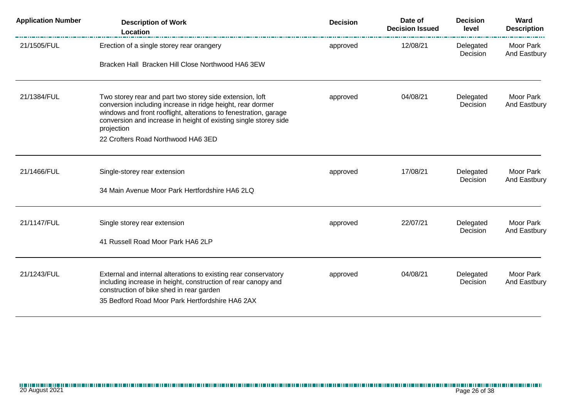| <b>Application Number</b> | <b>Description of Work</b><br>Location                                                                                                                                                                                                                                       | <b>Decision</b> | Date of<br><b>Decision Issued</b> | <b>Decision</b><br>level | Ward<br><b>Description</b> |
|---------------------------|------------------------------------------------------------------------------------------------------------------------------------------------------------------------------------------------------------------------------------------------------------------------------|-----------------|-----------------------------------|--------------------------|----------------------------|
| 21/1505/FUL               | Erection of a single storey rear orangery                                                                                                                                                                                                                                    | approved        | 12/08/21                          | Delegated<br>Decision    | Moor Park<br>And Eastbury  |
|                           | Bracken Hall Bracken Hill Close Northwood HA6 3EW                                                                                                                                                                                                                            |                 |                                   |                          |                            |
| 21/1384/FUL               | Two storey rear and part two storey side extension, loft<br>conversion including increase in ridge height, rear dormer<br>windows and front rooflight, alterations to fenestration, garage<br>conversion and increase in height of existing single storey side<br>projection | approved        | 04/08/21                          | Delegated<br>Decision    | Moor Park<br>And Eastbury  |
|                           | 22 Crofters Road Northwood HA6 3ED                                                                                                                                                                                                                                           |                 |                                   |                          |                            |
| 21/1466/FUL               | Single-storey rear extension                                                                                                                                                                                                                                                 | approved        | 17/08/21                          | Delegated<br>Decision    | Moor Park<br>And Eastbury  |
|                           | 34 Main Avenue Moor Park Hertfordshire HA6 2LQ                                                                                                                                                                                                                               |                 |                                   |                          |                            |
| 21/1147/FUL               | Single storey rear extension                                                                                                                                                                                                                                                 | approved        | 22/07/21                          | Delegated<br>Decision    | Moor Park                  |
|                           | 41 Russell Road Moor Park HA6 2LP                                                                                                                                                                                                                                            |                 |                                   |                          | And Eastbury               |
| 21/1243/FUL               | External and internal alterations to existing rear conservatory<br>including increase in height, construction of rear canopy and<br>construction of bike shed in rear garden<br>35 Bedford Road Moor Park Hertfordshire HA6 2AX                                              | approved        | 04/08/21                          | Delegated<br>Decision    | Moor Park<br>And Eastbury  |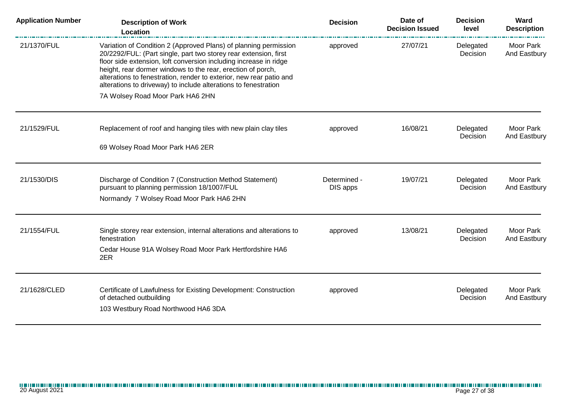| <b>Application Number</b> | <b>Description of Work</b><br>Location                                                                                                                                                                                                                                                                                                                                                                                                                 | <b>Decision</b>          | Date of<br><b>Decision Issued</b> | <b>Decision</b><br>level | Ward<br><b>Description</b> |
|---------------------------|--------------------------------------------------------------------------------------------------------------------------------------------------------------------------------------------------------------------------------------------------------------------------------------------------------------------------------------------------------------------------------------------------------------------------------------------------------|--------------------------|-----------------------------------|--------------------------|----------------------------|
| 21/1370/FUL               | Variation of Condition 2 (Approved Plans) of planning permission<br>20/2292/FUL: (Part single, part two storey rear extension, first<br>floor side extension, loft conversion including increase in ridge<br>height, rear dormer windows to the rear, erection of porch,<br>alterations to fenestration, render to exterior, new rear patio and<br>alterations to driveway) to include alterations to fenestration<br>7A Wolsey Road Moor Park HA6 2HN | approved                 | 27/07/21                          | Delegated<br>Decision    | Moor Park<br>And Eastbury  |
|                           |                                                                                                                                                                                                                                                                                                                                                                                                                                                        |                          |                                   |                          |                            |
| 21/1529/FUL               | Replacement of roof and hanging tiles with new plain clay tiles                                                                                                                                                                                                                                                                                                                                                                                        | approved                 | 16/08/21                          | Delegated<br>Decision    | Moor Park<br>And Eastbury  |
|                           | 69 Wolsey Road Moor Park HA6 2ER                                                                                                                                                                                                                                                                                                                                                                                                                       |                          |                                   |                          |                            |
|                           |                                                                                                                                                                                                                                                                                                                                                                                                                                                        |                          |                                   |                          |                            |
| 21/1530/DIS               | Discharge of Condition 7 (Construction Method Statement)<br>pursuant to planning permission 18/1007/FUL                                                                                                                                                                                                                                                                                                                                                | Determined -<br>DIS apps | 19/07/21                          | Delegated<br>Decision    | Moor Park<br>And Eastbury  |
|                           | Normandy 7 Wolsey Road Moor Park HA6 2HN                                                                                                                                                                                                                                                                                                                                                                                                               |                          |                                   |                          |                            |
| 21/1554/FUL               |                                                                                                                                                                                                                                                                                                                                                                                                                                                        |                          | 13/08/21                          |                          | Moor Park                  |
|                           | Single storey rear extension, internal alterations and alterations to<br>fenestration                                                                                                                                                                                                                                                                                                                                                                  | approved                 |                                   | Delegated<br>Decision    | And Eastbury               |
|                           | Cedar House 91A Wolsey Road Moor Park Hertfordshire HA6<br>2ER                                                                                                                                                                                                                                                                                                                                                                                         |                          |                                   |                          |                            |
| 21/1628/CLED              | Certificate of Lawfulness for Existing Development: Construction                                                                                                                                                                                                                                                                                                                                                                                       | approved                 |                                   | Delegated                | Moor Park                  |
|                           | of detached outbuilding                                                                                                                                                                                                                                                                                                                                                                                                                                |                          |                                   | Decision                 | And Eastbury               |
|                           | 103 Westbury Road Northwood HA6 3DA                                                                                                                                                                                                                                                                                                                                                                                                                    |                          |                                   |                          |                            |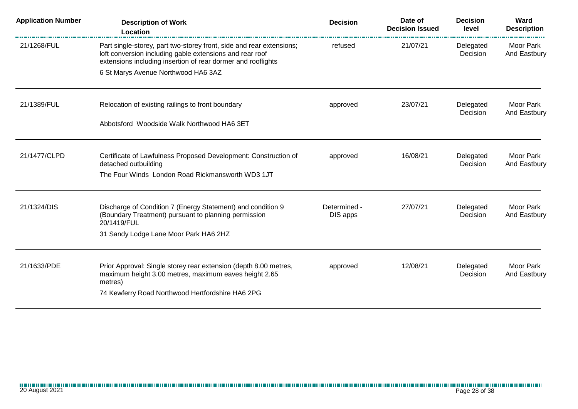| <b>Application Number</b> | <b>Description of Work</b><br>Location                                                                                                                                                           | <b>Decision</b>          | Date of<br><b>Decision Issued</b> | <b>Decision</b><br>level | Ward<br><b>Description</b> |
|---------------------------|--------------------------------------------------------------------------------------------------------------------------------------------------------------------------------------------------|--------------------------|-----------------------------------|--------------------------|----------------------------|
| 21/1268/FUL               | Part single-storey, part two-storey front, side and rear extensions;<br>loft conversion including gable extensions and rear roof<br>extensions including insertion of rear dormer and rooflights | refused                  | 21/07/21                          | Delegated<br>Decision    | Moor Park<br>And Eastbury  |
|                           | 6 St Marys Avenue Northwood HA6 3AZ                                                                                                                                                              |                          |                                   |                          |                            |
| 21/1389/FUL               | Relocation of existing railings to front boundary                                                                                                                                                | approved                 | 23/07/21                          | Delegated<br>Decision    | Moor Park<br>And Eastbury  |
|                           | Abbotsford Woodside Walk Northwood HA6 3ET                                                                                                                                                       |                          |                                   |                          |                            |
| 21/1477/CLPD              | Certificate of Lawfulness Proposed Development: Construction of<br>detached outbuilding                                                                                                          | approved                 | 16/08/21                          | Delegated<br>Decision    | Moor Park<br>And Eastbury  |
|                           | The Four Winds London Road Rickmansworth WD3 1JT                                                                                                                                                 |                          |                                   |                          |                            |
| 21/1324/DIS               | Discharge of Condition 7 (Energy Statement) and condition 9<br>(Boundary Treatment) pursuant to planning permission<br>20/1419/FUL                                                               | Determined -<br>DIS apps | 27/07/21                          | Delegated<br>Decision    | Moor Park<br>And Eastbury  |
|                           | 31 Sandy Lodge Lane Moor Park HA6 2HZ                                                                                                                                                            |                          |                                   |                          |                            |
| 21/1633/PDE               | Prior Approval: Single storey rear extension (depth 8.00 metres,<br>maximum height 3.00 metres, maximum eaves height 2.65<br>metres)                                                             | approved                 | 12/08/21                          | Delegated<br>Decision    | Moor Park<br>And Eastbury  |
|                           | 74 Kewferry Road Northwood Hertfordshire HA6 2PG                                                                                                                                                 |                          |                                   |                          |                            |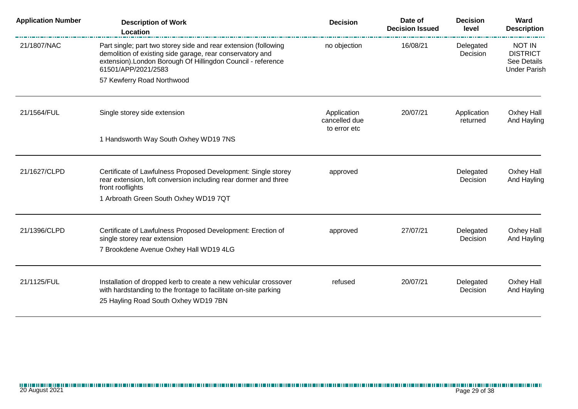| <b>Application Number</b> | <b>Description of Work</b><br>Location                                                                                                                                                                              | <b>Decision</b>                                                                     | Date of<br><b>Decision Issued</b> | <b>Decision</b><br>level  | Ward<br><b>Description</b>                                             |
|---------------------------|---------------------------------------------------------------------------------------------------------------------------------------------------------------------------------------------------------------------|-------------------------------------------------------------------------------------|-----------------------------------|---------------------------|------------------------------------------------------------------------|
| 21/1807/NAC               | Part single; part two storey side and rear extension (following<br>demolition of existing side garage, rear conservatory and<br>extension). London Borough Of Hillingdon Council - reference<br>61501/APP/2021/2583 | no objection                                                                        | 16/08/21                          | Delegated<br>Decision     | <b>NOT IN</b><br><b>DISTRICT</b><br>See Details<br><b>Under Parish</b> |
|                           | 57 Kewferry Road Northwood                                                                                                                                                                                          |                                                                                     |                                   |                           |                                                                        |
| 21/1564/FUL               | Single storey side extension                                                                                                                                                                                        | 20/07/21<br>Application<br>Application<br>cancelled due<br>returned<br>to error etc |                                   | Oxhey Hall<br>And Hayling |                                                                        |
|                           | 1 Handsworth Way South Oxhey WD19 7NS                                                                                                                                                                               |                                                                                     |                                   |                           |                                                                        |
| 21/1627/CLPD              | Certificate of Lawfulness Proposed Development: Single storey<br>rear extension, loft conversion including rear dormer and three<br>front rooflights                                                                | approved                                                                            |                                   | Delegated<br>Decision     | Oxhey Hall<br>And Hayling                                              |
|                           | 1 Arbroath Green South Oxhey WD19 7QT                                                                                                                                                                               |                                                                                     |                                   |                           |                                                                        |
| 21/1396/CLPD              | Certificate of Lawfulness Proposed Development: Erection of<br>single storey rear extension<br>7 Brookdene Avenue Oxhey Hall WD19 4LG                                                                               | approved                                                                            | 27/07/21                          | Delegated<br>Decision     | Oxhey Hall<br>And Hayling                                              |
|                           |                                                                                                                                                                                                                     |                                                                                     |                                   |                           |                                                                        |
| 21/1125/FUL               | Installation of dropped kerb to create a new vehicular crossover<br>with hardstanding to the frontage to facilitate on-site parking<br>25 Hayling Road South Oxhey WD19 7BN                                         | refused                                                                             | 20/07/21                          | Delegated<br>Decision     | Oxhey Hall<br>And Hayling                                              |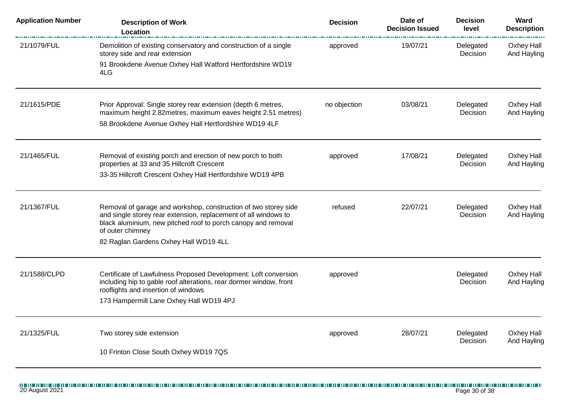| <b>Application Number</b> | <b>Description of Work</b><br>Location                                                                                                                                                                                  | <b>Decision</b> | Date of<br><b>Decision Issued</b> | <b>Decision</b><br>level | Ward<br><b>Description</b> |
|---------------------------|-------------------------------------------------------------------------------------------------------------------------------------------------------------------------------------------------------------------------|-----------------|-----------------------------------|--------------------------|----------------------------|
| 21/1079/FUL               | Demolition of existing conservatory and construction of a single<br>storey side and rear extension                                                                                                                      | approved        | 19/07/21                          | Delegated<br>Decision    | Oxhey Hall<br>And Hayling  |
|                           | 91 Brookdene Avenue Oxhey Hall Watford Hertfordshire WD19<br>4LG                                                                                                                                                        |                 |                                   |                          |                            |
| 21/1615/PDE               | Prior Approval: Single storey rear extension (depth 6 metres,<br>maximum height 2.82metres, maximum eaves height 2.51 metres)                                                                                           | no objection    | 03/08/21                          | Delegated<br>Decision    | Oxhey Hall<br>And Hayling  |
|                           | 58 Brookdene Avenue Oxhey Hall Hertfordshire WD19 4LF                                                                                                                                                                   |                 |                                   |                          |                            |
| 21/1465/FUL               | Removal of existing porch and erection of new porch to both<br>properties at 33 and 35 Hillcroft Crescent                                                                                                               | approved        | 17/08/21                          | Delegated<br>Decision    | Oxhey Hall<br>And Hayling  |
|                           | 33-35 Hillcroft Crescent Oxhey Hall Hertfordshire WD19 4PB                                                                                                                                                              |                 |                                   |                          |                            |
| 21/1367/FUL               | Removal of garage and workshop, construction of two storey side<br>and single storey rear extension, replacement of all windows to<br>black aluminium, new pitched roof to porch canopy and removal<br>of outer chimney | refused         | 22/07/21                          | Delegated<br>Decision    | Oxhey Hall<br>And Hayling  |
|                           | 82 Raglan Gardens Oxhey Hall WD19 4LL                                                                                                                                                                                   |                 |                                   |                          |                            |
| 21/1588/CLPD              | Certificate of Lawfulness Proposed Development: Loft conversion<br>including hip to gable roof alterations, rear dormer window, front<br>rooflights and insertion of windows                                            | approved        |                                   | Delegated<br>Decision    | Oxhey Hall<br>And Hayling  |
|                           | 173 Hampermill Lane Oxhey Hall WD19 4PJ                                                                                                                                                                                 |                 |                                   |                          |                            |
| 21/1325/FUL               | Two storey side extension                                                                                                                                                                                               | approved        | 28/07/21                          | Delegated<br>Decision    | Oxhey Hall<br>And Hayling  |
|                           | 10 Frinton Close South Oxhey WD19 7QS                                                                                                                                                                                   |                 |                                   |                          |                            |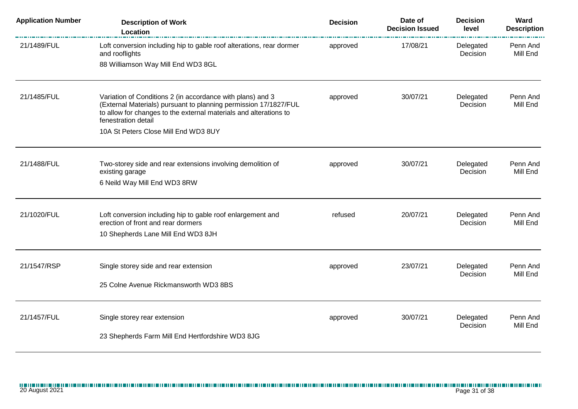| <b>Application Number</b> | <b>Description of Work</b><br>Location                                                                                                                                                                                     | <b>Decision</b> | Date of<br><b>Decision Issued</b> | <b>Decision</b><br>level | Ward<br><b>Description</b> |
|---------------------------|----------------------------------------------------------------------------------------------------------------------------------------------------------------------------------------------------------------------------|-----------------|-----------------------------------|--------------------------|----------------------------|
| 21/1489/FUL               | Loft conversion including hip to gable roof alterations, rear dormer<br>and rooflights                                                                                                                                     | approved        | 17/08/21                          | Delegated<br>Decision    | Penn And<br>Mill End       |
|                           | 88 Williamson Way Mill End WD3 8GL                                                                                                                                                                                         |                 |                                   |                          |                            |
| 21/1485/FUL               | Variation of Conditions 2 (in accordance with plans) and 3<br>(External Materials) pursuant to planning permission 17/1827/FUL<br>to allow for changes to the external materials and alterations to<br>fenestration detail | approved        | 30/07/21                          | Delegated<br>Decision    | Penn And<br>Mill End       |
|                           | 10A St Peters Close Mill End WD3 8UY                                                                                                                                                                                       |                 |                                   |                          |                            |
| 21/1488/FUL               | Two-storey side and rear extensions involving demolition of<br>existing garage                                                                                                                                             | approved        | 30/07/21                          | Delegated<br>Decision    | Penn And<br>Mill End       |
|                           | 6 Neild Way Mill End WD3 8RW                                                                                                                                                                                               |                 |                                   |                          |                            |
| 21/1020/FUL               | Loft conversion including hip to gable roof enlargement and<br>erection of front and rear dormers                                                                                                                          | refused         | 20/07/21                          | Delegated<br>Decision    | Penn And<br>Mill End       |
|                           | 10 Shepherds Lane Mill End WD3 8JH                                                                                                                                                                                         |                 |                                   |                          |                            |
| 21/1547/RSP               | Single storey side and rear extension                                                                                                                                                                                      | approved        | 23/07/21                          | Delegated                | Penn And                   |
|                           | 25 Colne Avenue Rickmansworth WD3 8BS                                                                                                                                                                                      |                 |                                   | Decision                 | Mill End                   |
| 21/1457/FUL               | Single storey rear extension                                                                                                                                                                                               | approved        | 30/07/21                          | Delegated                | Penn And                   |
|                           | 23 Shepherds Farm Mill End Hertfordshire WD3 8JG                                                                                                                                                                           |                 |                                   | Decision                 | Mill End                   |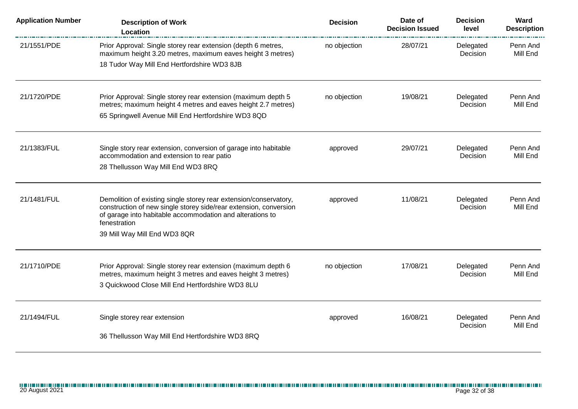| <b>Application Number</b> | <b>Description of Work</b><br>Location                                                                                                                                                                                                              | <b>Decision</b> | Date of<br><b>Decision Issued</b> | <b>Decision</b><br>level | Ward<br><b>Description</b> |
|---------------------------|-----------------------------------------------------------------------------------------------------------------------------------------------------------------------------------------------------------------------------------------------------|-----------------|-----------------------------------|--------------------------|----------------------------|
| 21/1551/PDE               | Prior Approval: Single storey rear extension (depth 6 metres,<br>maximum height 3.20 metres, maximum eaves height 3 metres)<br>18 Tudor Way Mill End Hertfordshire WD3 8JB                                                                          | no objection    | 28/07/21                          | Delegated<br>Decision    | Penn And<br>Mill End       |
| 21/1720/PDE               | Prior Approval: Single storey rear extension (maximum depth 5<br>metres; maximum height 4 metres and eaves height 2.7 metres)<br>65 Springwell Avenue Mill End Hertfordshire WD3 8QD                                                                | no objection    | 19/08/21                          | Delegated<br>Decision    | Penn And<br>Mill End       |
| 21/1383/FUL               | Single story rear extension, conversion of garage into habitable<br>accommodation and extension to rear patio<br>28 Thellusson Way Mill End WD3 8RQ                                                                                                 | approved        | 29/07/21                          | Delegated<br>Decision    | Penn And<br>Mill End       |
| 21/1481/FUL               | Demolition of existing single storey rear extension/conservatory,<br>construction of new single storey side/rear extension, conversion<br>of garage into habitable accommodation and alterations to<br>fenestration<br>39 Mill Way Mill End WD3 8QR | approved        | 11/08/21                          | Delegated<br>Decision    | Penn And<br>Mill End       |
| 21/1710/PDE               | Prior Approval: Single storey rear extension (maximum depth 6<br>metres, maximum height 3 metres and eaves height 3 metres)<br>3 Quickwood Close Mill End Hertfordshire WD3 8LU                                                                     | no objection    | 17/08/21                          | Delegated<br>Decision    | Penn And<br>Mill End       |
| 21/1494/FUL               | Single storey rear extension<br>36 Thellusson Way Mill End Hertfordshire WD3 8RQ                                                                                                                                                                    | approved        | 16/08/21                          | Delegated<br>Decision    | Penn And<br>Mill End       |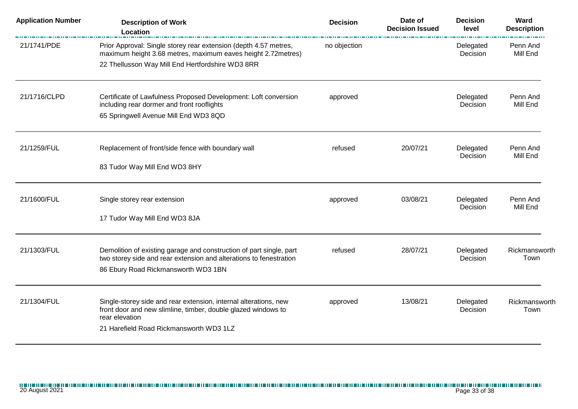| <b>Application Number</b> | <b>Description of Work</b><br>Location                                                                                                                                                         | <b>Decision</b> | Date of<br><b>Decision Issued</b> | <b>Decision</b><br>level | Ward<br><b>Description</b> |
|---------------------------|------------------------------------------------------------------------------------------------------------------------------------------------------------------------------------------------|-----------------|-----------------------------------|--------------------------|----------------------------|
| 21/1741/PDE               | Prior Approval: Single storey rear extension (depth 4.57 metres,<br>maximum height 3.68 metres, maximum eaves height 2.72 metres)                                                              | no objection    |                                   | Delegated<br>Decision    | Penn And<br>Mill End       |
|                           | 22 Thellusson Way Mill End Hertfordshire WD3 8RR                                                                                                                                               |                 |                                   |                          |                            |
| 21/1716/CLPD              | Certificate of Lawfulness Proposed Development: Loft conversion<br>including rear dormer and front rooflights                                                                                  | approved        |                                   | Delegated<br>Decision    | Penn And<br>Mill End       |
|                           | 65 Springwell Avenue Mill End WD3 8QD                                                                                                                                                          |                 |                                   |                          |                            |
| 21/1259/FUL               | Replacement of front/side fence with boundary wall                                                                                                                                             | refused         | 20/07/21                          | Delegated<br>Decision    | Penn And<br>Mill End       |
|                           | 83 Tudor Way Mill End WD3 8HY                                                                                                                                                                  |                 |                                   |                          |                            |
| 21/1600/FUL               | Single storey rear extension                                                                                                                                                                   | approved        | 03/08/21                          | Delegated                | Penn And                   |
|                           | 17 Tudor Way Mill End WD3 8JA                                                                                                                                                                  |                 |                                   | Decision                 | Mill End                   |
| 21/1303/FUL               | Demolition of existing garage and construction of part single, part<br>two storey side and rear extension and alterations to fenestration<br>86 Ebury Road Rickmansworth WD3 1BN               | refused         | 28/07/21                          | Delegated<br>Decision    | Rickmansworth<br>Town      |
| 21/1304/FUL               | Single-storey side and rear extension, internal alterations, new<br>front door and new slimline, timber, double glazed windows to<br>rear elevation<br>21 Harefield Road Rickmansworth WD3 1LZ | approved        | 13/08/21                          | Delegated<br>Decision    | Rickmansworth<br>Town      |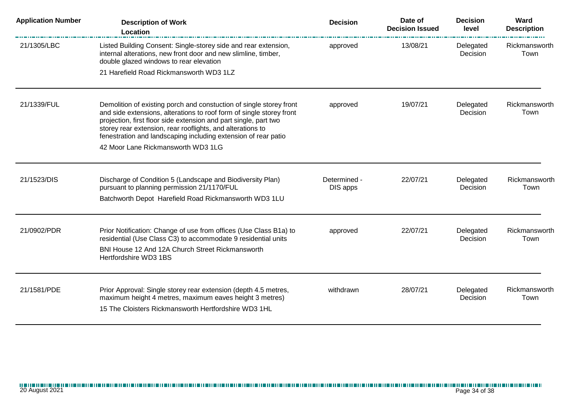| <b>Application Number</b> | <b>Description of Work</b><br><b>Location</b>                                                                                                                                                                                                                                                                                                   | <b>Decision</b>          | Date of<br><b>Decision Issued</b> | <b>Decision</b><br>level     | Ward<br><b>Description</b> |
|---------------------------|-------------------------------------------------------------------------------------------------------------------------------------------------------------------------------------------------------------------------------------------------------------------------------------------------------------------------------------------------|--------------------------|-----------------------------------|------------------------------|----------------------------|
| 21/1305/LBC               | Listed Building Consent: Single-storey side and rear extension,<br>internal alterations, new front door and new slimline, timber,<br>double glazed windows to rear elevation                                                                                                                                                                    | approved                 | 13/08/21                          | Delegated<br>Decision        | Rickmansworth<br>Town      |
|                           | 21 Harefield Road Rickmansworth WD3 1LZ                                                                                                                                                                                                                                                                                                         |                          |                                   |                              |                            |
| 21/1339/FUL               | Demolition of existing porch and constuction of single storey front<br>and side extensions, alterations to roof form of single storey front<br>projection, first floor side extension and part single, part two<br>storey rear extension, rear rooflights, and alterations to<br>fenestration and landscaping including extension of rear patio | approved                 | 19/07/21                          | Delegated<br>Decision        | Rickmansworth<br>Town      |
|                           | 42 Moor Lane Rickmansworth WD3 1LG                                                                                                                                                                                                                                                                                                              |                          |                                   |                              |                            |
| 21/1523/DIS               | Discharge of Condition 5 (Landscape and Biodiversity Plan)<br>pursuant to planning permission 21/1170/FUL                                                                                                                                                                                                                                       | Determined -<br>DIS apps | 22/07/21                          | Delegated<br><b>Decision</b> | Rickmansworth<br>Town      |
|                           | Batchworth Depot Harefield Road Rickmansworth WD3 1LU                                                                                                                                                                                                                                                                                           |                          |                                   |                              |                            |
| 21/0902/PDR               | Prior Notification: Change of use from offices (Use Class B1a) to<br>residential (Use Class C3) to accommodate 9 residential units<br>BNI House 12 And 12A Church Street Rickmansworth<br>Hertfordshire WD3 1BS                                                                                                                                 | approved                 | 22/07/21                          | Delegated<br>Decision        | Rickmansworth<br>Town      |
| 21/1581/PDE               | Prior Approval: Single storey rear extension (depth 4.5 metres,<br>maximum height 4 metres, maximum eaves height 3 metres)<br>15 The Cloisters Rickmansworth Hertfordshire WD3 1HL                                                                                                                                                              | withdrawn                | 28/07/21                          | Delegated<br>Decision        | Rickmansworth<br>Town      |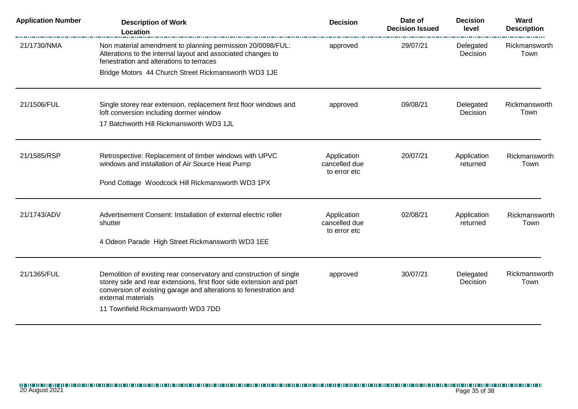| <b>Application Number</b> | <b>Description of Work</b><br>Location                                                                                                                                                                                                                                       | <b>Decision</b>                              | Date of<br><b>Decision Issued</b> | <b>Decision</b><br>level | Ward<br><b>Description</b> |
|---------------------------|------------------------------------------------------------------------------------------------------------------------------------------------------------------------------------------------------------------------------------------------------------------------------|----------------------------------------------|-----------------------------------|--------------------------|----------------------------|
| 21/1730/NMA               | Non material amendment to planning permission 20/0098/FUL:<br>Alterations to the internal layout and associated changes to<br>fenestration and alterations to terraces                                                                                                       | approved                                     | 29/07/21                          | Delegated<br>Decision    | Rickmansworth<br>Town      |
|                           | Bridge Motors 44 Church Street Rickmansworth WD3 1JE                                                                                                                                                                                                                         |                                              |                                   |                          |                            |
| 21/1506/FUL               | Single storey rear extension, replacement first floor windows and<br>loft conversion including dormer window<br>17 Batchworth Hill Rickmansworth WD3 1JL                                                                                                                     | approved                                     | 09/08/21                          | Delegated<br>Decision    | Rickmansworth<br>Town      |
| 21/1585/RSP               | Retrospective: Replacement of timber windows with UPVC<br>windows and installation of Air Source Heat Pump<br>Pond Cottage Woodcock Hill Rickmansworth WD3 1PX                                                                                                               | Application<br>cancelled due<br>to error etc | 20/07/21                          | Application<br>returned  | Rickmansworth<br>Town      |
|                           |                                                                                                                                                                                                                                                                              |                                              |                                   |                          |                            |
| 21/1743/ADV               | Advertisement Consent: Installation of external electric roller<br>shutter                                                                                                                                                                                                   | Application<br>cancelled due<br>to error etc | 02/08/21                          | Application<br>returned  | Rickmansworth<br>Town      |
|                           | 4 Odeon Parade High Street Rickmansworth WD3 1EE                                                                                                                                                                                                                             |                                              |                                   |                          |                            |
| 21/1365/FUL               | Demolition of existing rear conservatory and construction of single<br>storey side and rear extensions, first floor side extension and part<br>conversion of existing garage and alterations to fenestration and<br>external materials<br>11 Townfield Rickmansworth WD3 7DD | approved                                     | 30/07/21                          | Delegated<br>Decision    | Rickmansworth<br>Town      |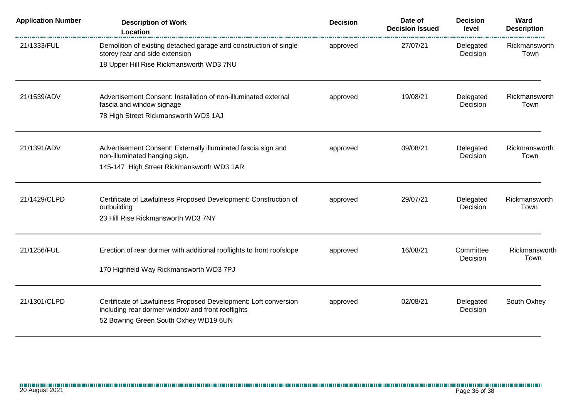| <b>Application Number</b> | <b>Description of Work</b><br><b>Location</b>                                                                        | <b>Decision</b> | Date of<br><b>Decision Issued</b> | <b>Decision</b><br>level | Ward<br><b>Description</b><br>. |
|---------------------------|----------------------------------------------------------------------------------------------------------------------|-----------------|-----------------------------------|--------------------------|---------------------------------|
| 21/1333/FUL               | Demolition of existing detached garage and construction of single<br>storey rear and side extension                  | approved        | 27/07/21                          | Delegated<br>Decision    | Rickmansworth<br>Town           |
|                           | 18 Upper Hill Rise Rickmansworth WD3 7NU                                                                             |                 |                                   |                          |                                 |
| 21/1539/ADV               | Advertisement Consent: Installation of non-illuminated external<br>fascia and window signage                         | approved        | 19/08/21                          | Delegated<br>Decision    | Rickmansworth<br>Town           |
|                           | 78 High Street Rickmansworth WD3 1AJ                                                                                 |                 |                                   |                          |                                 |
| 21/1391/ADV               | Advertisement Consent: Externally illuminated fascia sign and<br>non-illuminated hanging sign.                       | approved        | 09/08/21                          | Delegated<br>Decision    | Rickmansworth<br>Town           |
|                           | 145-147 High Street Rickmansworth WD3 1AR                                                                            |                 |                                   |                          |                                 |
| 21/1429/CLPD              | Certificate of Lawfulness Proposed Development: Construction of<br>outbuilding<br>23 Hill Rise Rickmansworth WD3 7NY | approved        | 29/07/21                          | Delegated<br>Decision    | Rickmansworth<br>Town           |
|                           |                                                                                                                      |                 |                                   |                          |                                 |
| 21/1256/FUL               | Erection of rear dormer with additional rooflights to front roofslope                                                | approved        | 16/08/21                          | Committee<br>Decision    | Rickmansworth<br>Town           |
|                           | 170 Highfield Way Rickmansworth WD3 7PJ                                                                              |                 |                                   |                          |                                 |
| 21/1301/CLPD              | Certificate of Lawfulness Proposed Development: Loft conversion<br>including rear dormer window and front rooflights | approved        | 02/08/21                          | Delegated<br>Decision    | South Oxhey                     |
|                           | 52 Bowring Green South Oxhey WD19 6UN                                                                                |                 |                                   |                          |                                 |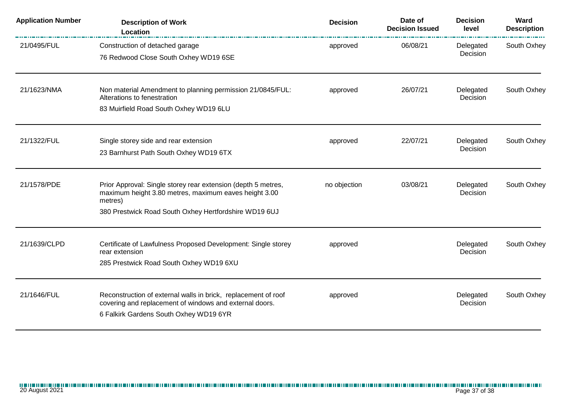| <b>Application Number</b> | <b>Description of Work</b><br>Location                                                                                                                                                     | <b>Decision</b> | Date of<br><b>Decision Issued</b> | <b>Decision</b><br>level | Ward<br><b>Description</b> |
|---------------------------|--------------------------------------------------------------------------------------------------------------------------------------------------------------------------------------------|-----------------|-----------------------------------|--------------------------|----------------------------|
| 21/0495/FUL               | Construction of detached garage<br>76 Redwood Close South Oxhey WD19 6SE                                                                                                                   | approved        | 06/08/21                          | Delegated<br>Decision    | South Oxhey                |
| 21/1623/NMA               | Non material Amendment to planning permission 21/0845/FUL:<br>Alterations to fenestration<br>83 Muirfield Road South Oxhey WD19 6LU                                                        | approved        | 26/07/21                          | Delegated<br>Decision    | South Oxhey                |
| 21/1322/FUL               | Single storey side and rear extension<br>23 Barnhurst Path South Oxhey WD19 6TX                                                                                                            | approved        | 22/07/21                          | Delegated<br>Decision    | South Oxhey                |
| 21/1578/PDE               | Prior Approval: Single storey rear extension (depth 5 metres,<br>maximum height 3.80 metres, maximum eaves height 3.00<br>metres)<br>380 Prestwick Road South Oxhey Hertfordshire WD19 6UJ | no objection    | 03/08/21                          | Delegated<br>Decision    | South Oxhey                |
| 21/1639/CLPD              | Certificate of Lawfulness Proposed Development: Single storey<br>rear extension<br>285 Prestwick Road South Oxhey WD19 6XU                                                                 | approved        |                                   | Delegated<br>Decision    | South Oxhey                |
| 21/1646/FUL               | Reconstruction of external walls in brick, replacement of roof<br>covering and replacement of windows and external doors.<br>6 Falkirk Gardens South Oxhey WD19 6YR                        | approved        |                                   | Delegated<br>Decision    | South Oxhey                |